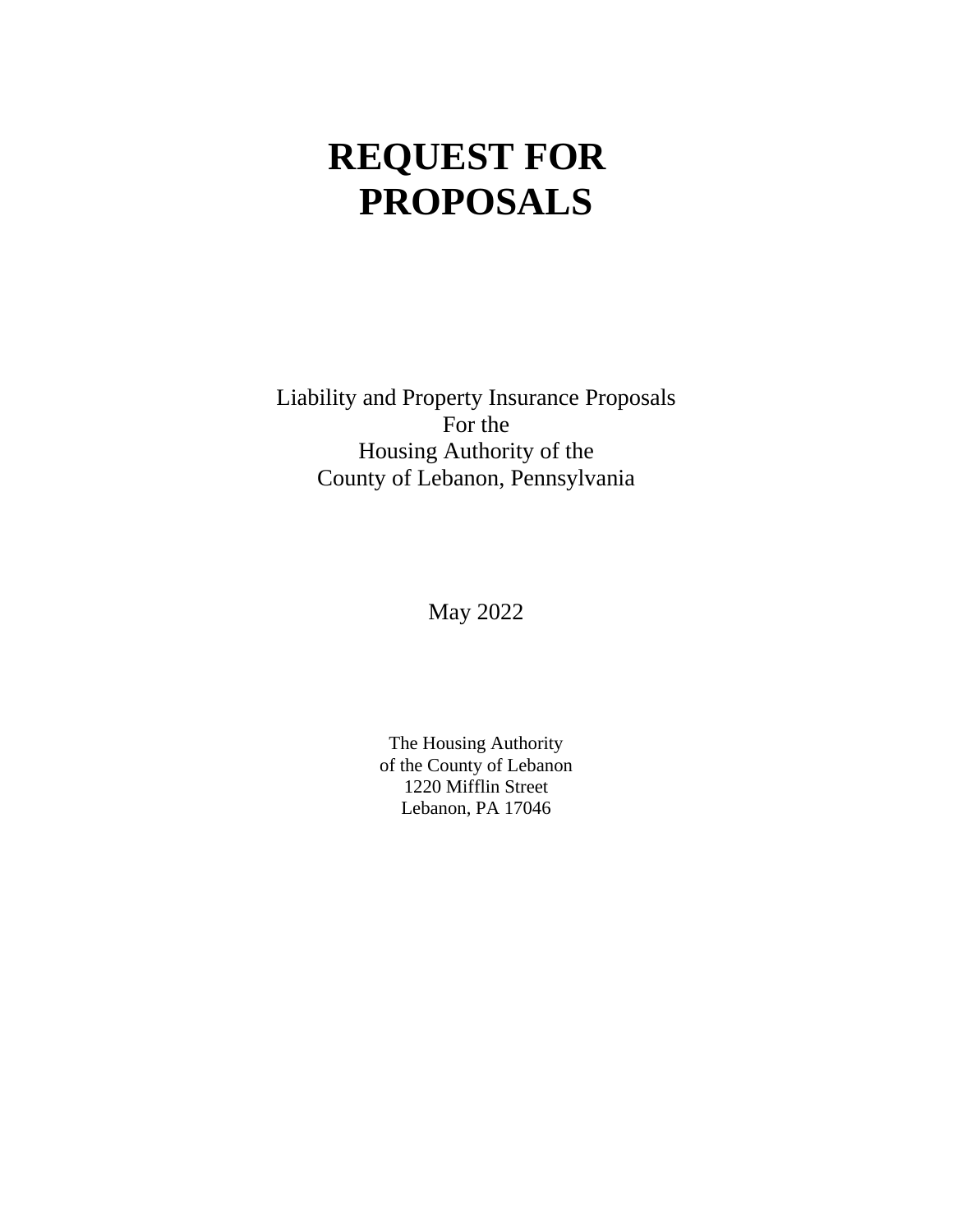# **REQUEST FOR PROPOSALS**

Liability and Property Insurance Proposals For the Housing Authority of the County of Lebanon, Pennsylvania

May 2022

The Housing Authority of the County of Lebanon 1220 Mifflin Street Lebanon, PA 17046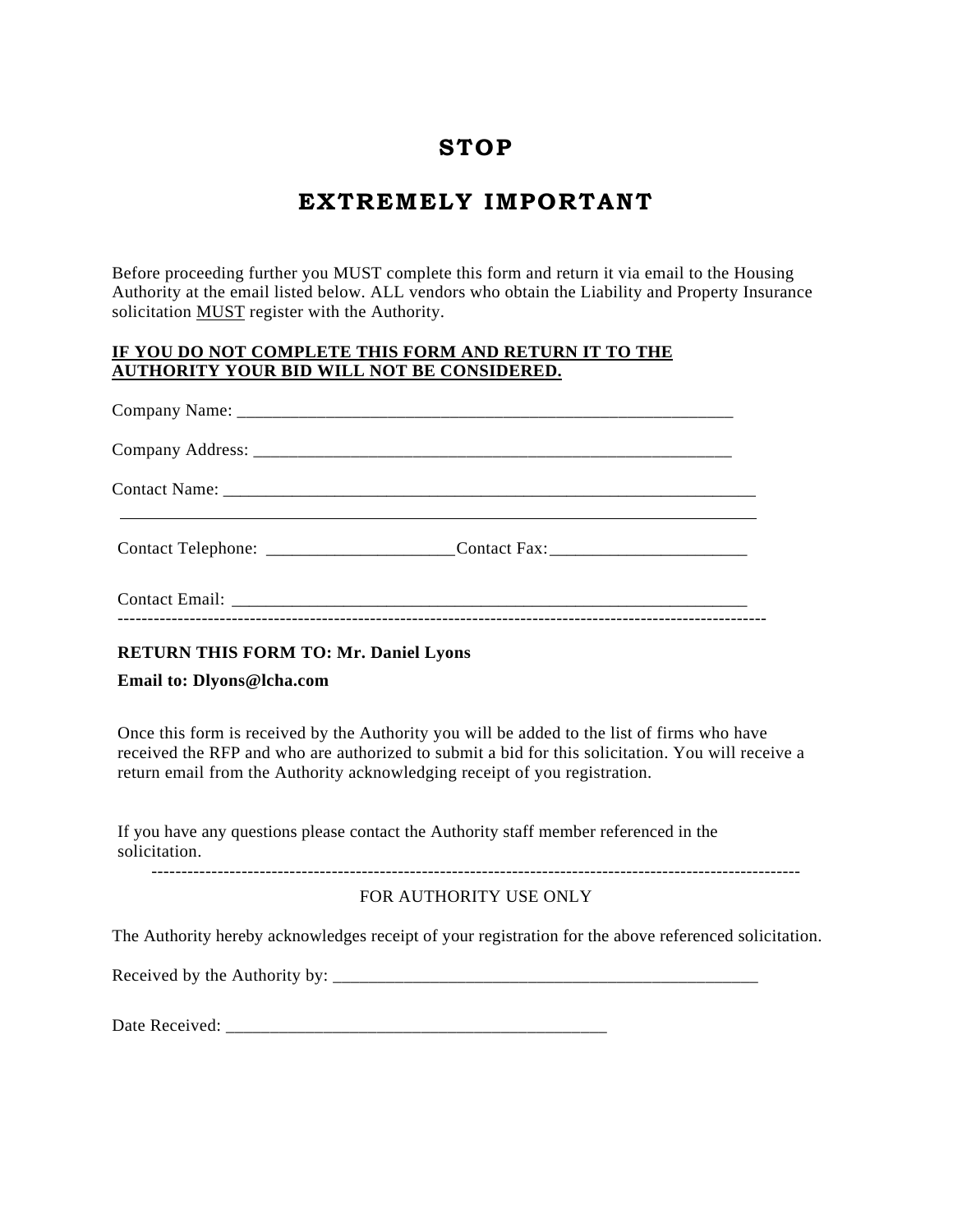# **STOP**

# **EXTREMELY IMPORTANT**

Before proceeding further you MUST complete this form and return it via email to the Housing Authority at the email listed below. ALL vendors who obtain the Liability and Property Insurance solicitation MUST register with the Authority.

#### **IF YOU DO NOT COMPLETE THIS FORM AND RETURN IT TO THE AUTHORITY YOUR BID WILL NOT BE CONSIDERED.**

| Contact Telephone: ________________________Contact Fax: ________________________ |  |
|----------------------------------------------------------------------------------|--|
|                                                                                  |  |

#### **RETURN THIS FORM TO: Mr. Daniel Lyons**

**Email to: Dlyons@lcha.com** 

Once this form is received by the Authority you will be added to the list of firms who have received the RFP and who are authorized to submit a bid for this solicitation. You will receive a return email from the Authority acknowledging receipt of you registration.

If you have any questions please contact the Authority staff member referenced in the solicitation.

------------------------------------------------------------------------------------------------------------

#### FOR AUTHORITY USE ONLY

The Authority hereby acknowledges receipt of your registration for the above referenced solicitation.

Received by the Authority by: \_\_\_\_\_\_\_\_\_\_\_\_\_\_\_\_\_\_\_\_\_\_\_\_\_\_\_\_\_\_\_\_\_\_\_\_\_\_\_\_\_\_\_\_\_\_\_\_

Date Received: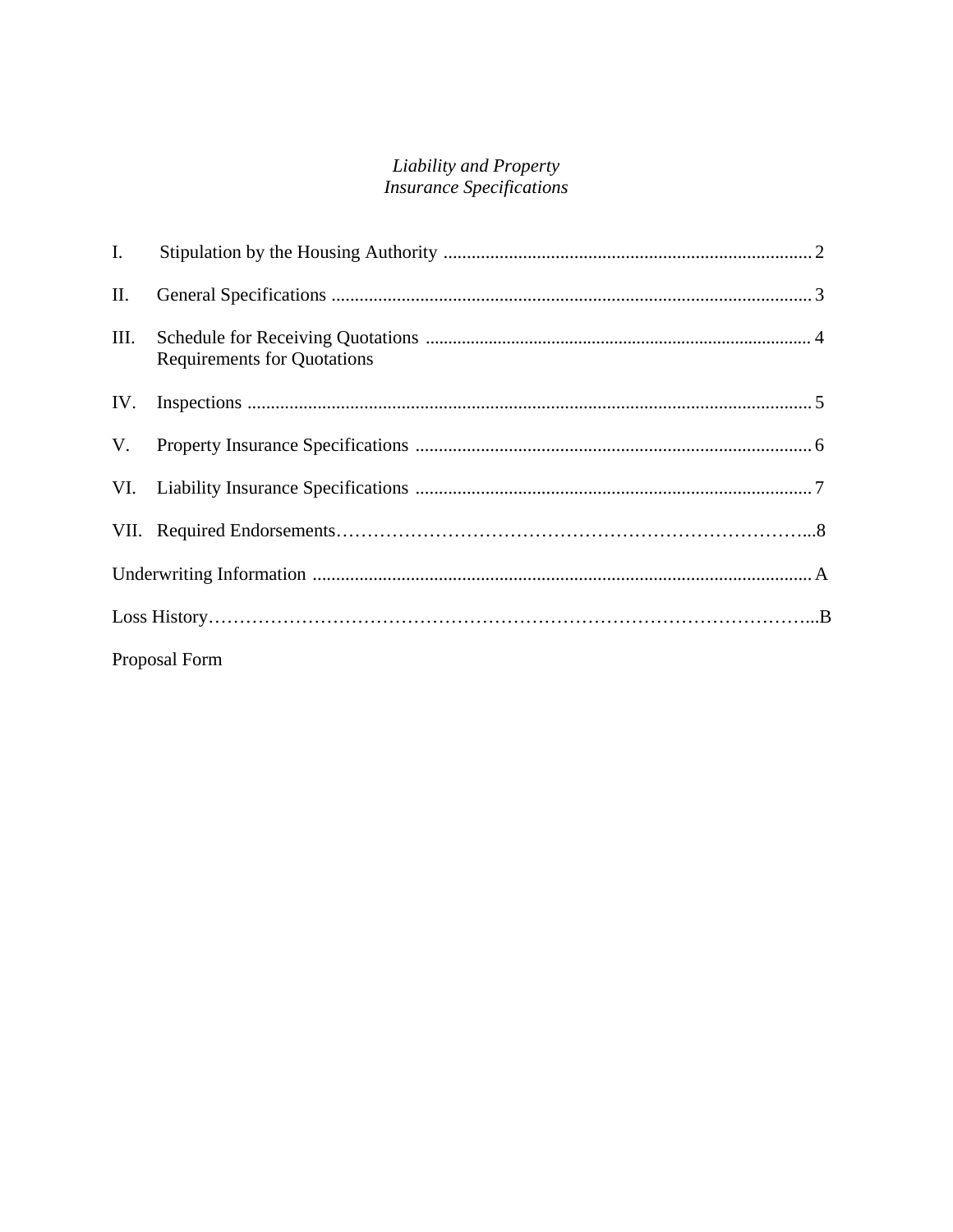# **Liability and Property**<br>Insurance Specifications

| I.   |                                    |  |
|------|------------------------------------|--|
| II.  |                                    |  |
| III. | <b>Requirements for Quotations</b> |  |
| IV.  |                                    |  |
| V.   |                                    |  |
|      |                                    |  |
|      |                                    |  |
|      |                                    |  |
|      |                                    |  |
|      | Proposal Form                      |  |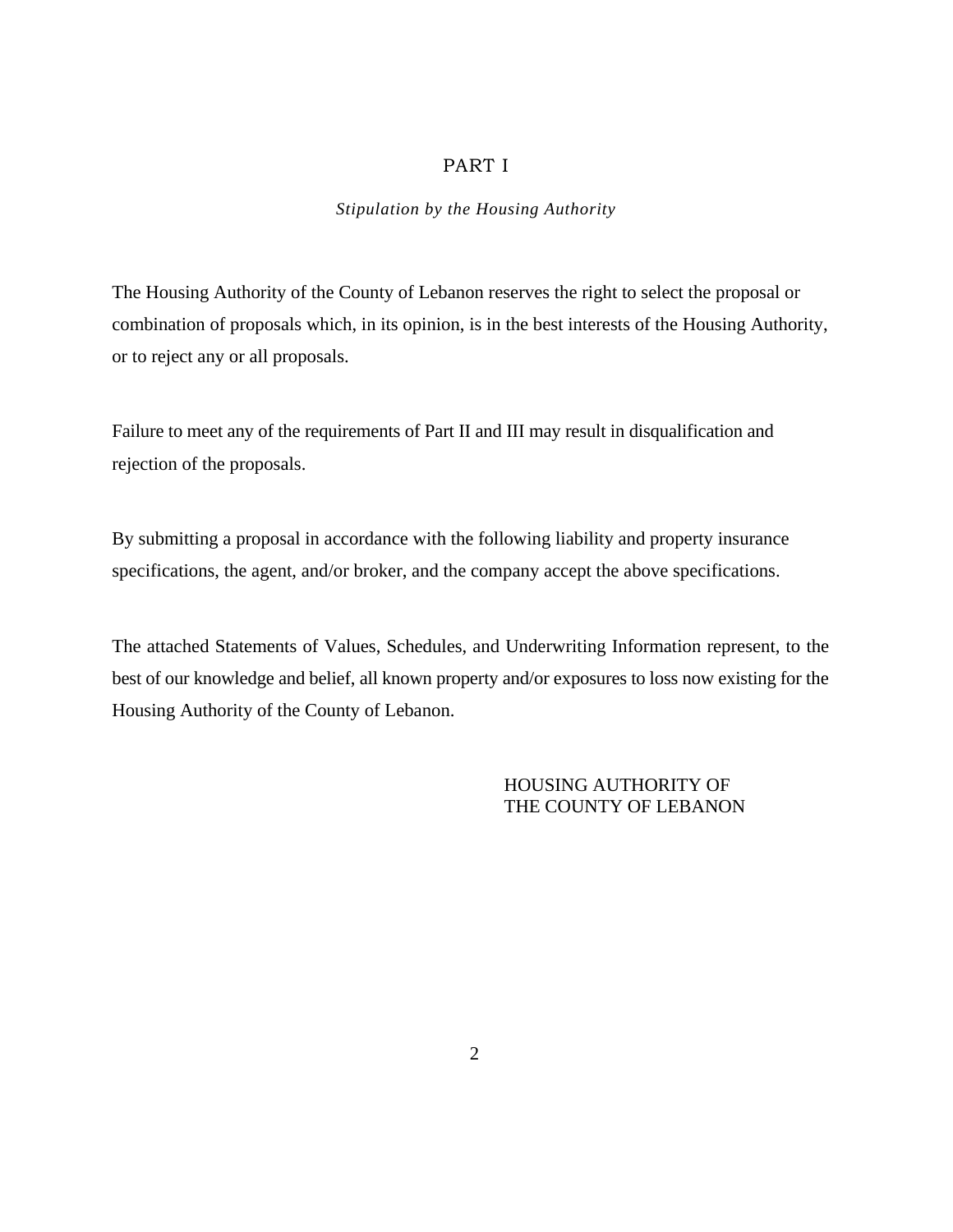#### PART I

#### *Stipulation by the Housing Authority*

The Housing Authority of the County of Lebanon reserves the right to select the proposal or combination of proposals which, in its opinion, is in the best interests of the Housing Authority, or to reject any or all proposals.

Failure to meet any of the requirements of Part II and III may result in disqualification and rejection of the proposals.

By submitting a proposal in accordance with the following liability and property insurance specifications, the agent, and/or broker, and the company accept the above specifications.

The attached Statements of Values, Schedules, and Underwriting Information represent, to the best of our knowledge and belief, all known property and/or exposures to loss now existing for the Housing Authority of the County of Lebanon.

#### HOUSING AUTHORITY OF THE COUNTY OF LEBANON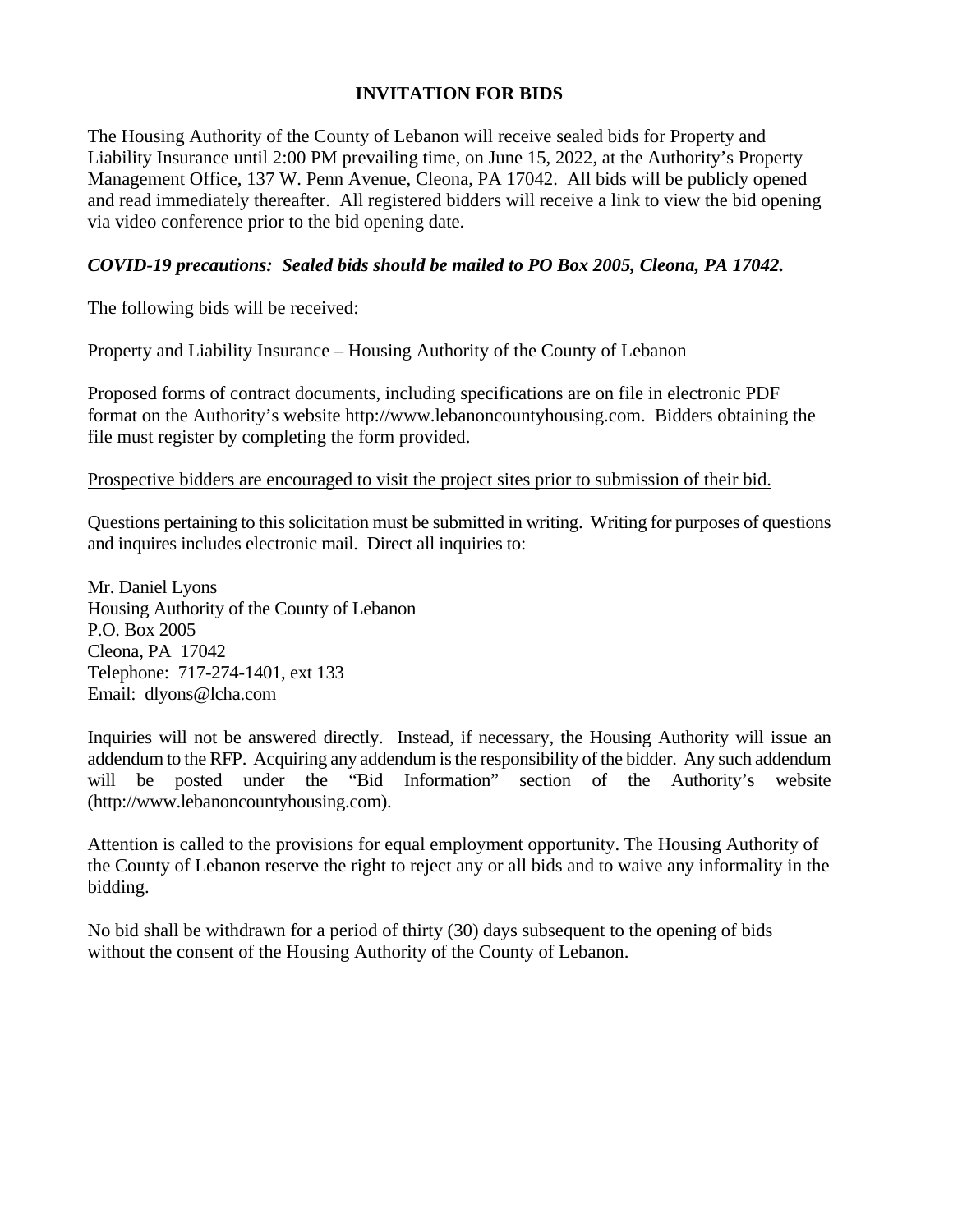#### **INVITATION FOR BIDS**

The Housing Authority of the County of Lebanon will receive sealed bids for Property and Liability Insurance until 2:00 PM prevailing time, on June 15, 2022, at the Authority's Property Management Office, 137 W. Penn Avenue, Cleona, PA 17042. All bids will be publicly opened and read immediately thereafter. All registered bidders will receive a link to view the bid opening via video conference prior to the bid opening date.

#### *COVID-19 precautions: Sealed bids should be mailed to PO Box 2005, Cleona, PA 17042.*

The following bids will be received:

Property and Liability Insurance – Housing Authority of the County of Lebanon

Proposed forms of contract documents, including specifications are on file in electronic PDF format on the Authority's website http://www.lebanoncountyhousing.com. Bidders obtaining the file must register by completing the form provided.

#### Prospective bidders are encouraged to visit the project sites prior to submission of their bid.

Questions pertaining to this solicitation must be submitted in writing. Writing for purposes of questions and inquires includes electronic mail. Direct all inquiries to:

Mr. Daniel Lyons Housing Authority of the County of Lebanon P.O. Box 2005 Cleona, PA 17042 Telephone: 717-274-1401, ext 133 Email: dlyons@lcha.com

Inquiries will not be answered directly. Instead, if necessary, the Housing Authority will issue an addendum to the RFP. Acquiring any addendum is the responsibility of the bidder. Any such addendum will be posted under the "Bid Information" section of the Authority's website (http://www.lebanoncountyhousing.com).

Attention is called to the provisions for equal employment opportunity. The Housing Authority of the County of Lebanon reserve the right to reject any or all bids and to waive any informality in the bidding.

No bid shall be withdrawn for a period of thirty (30) days subsequent to the opening of bids without the consent of the Housing Authority of the County of Lebanon.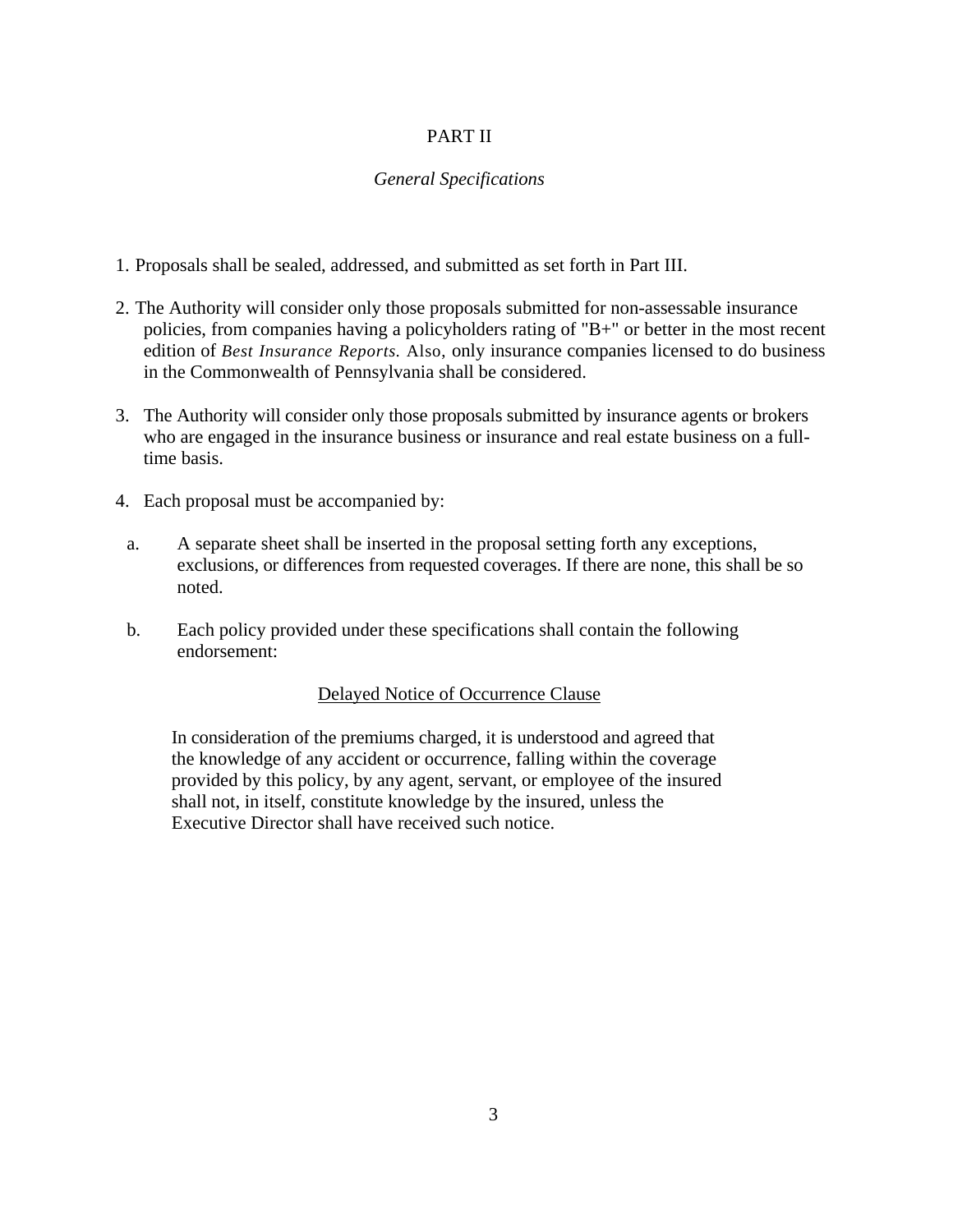#### PART II

#### *General Specifications*

- 1. Proposals shall be sealed, addressed, and submitted as set forth in Part III.
- 2. The Authority will consider only those proposals submitted for non-assessable insurance policies, from companies having a policyholders rating of "B+" or better in the most recent edition of *Best Insurance Reports.* Also, only insurance companies licensed to do business in the Commonwealth of Pennsylvania shall be considered.
- 3. The Authority will consider only those proposals submitted by insurance agents or brokers who are engaged in the insurance business or insurance and real estate business on a fulltime basis.
- 4. Each proposal must be accompanied by:
- a. A separate sheet shall be inserted in the proposal setting forth any exceptions, exclusions, or differences from requested coverages. If there are none, this shall be so noted.
- b. Each policy provided under these specifications shall contain the following endorsement:

#### Delayed Notice of Occurrence Clause

In consideration of the premiums charged, it is understood and agreed that the knowledge of any accident or occurrence, falling within the coverage provided by this policy, by any agent, servant, or employee of the insured shall not, in itself, constitute knowledge by the insured, unless the Executive Director shall have received such notice.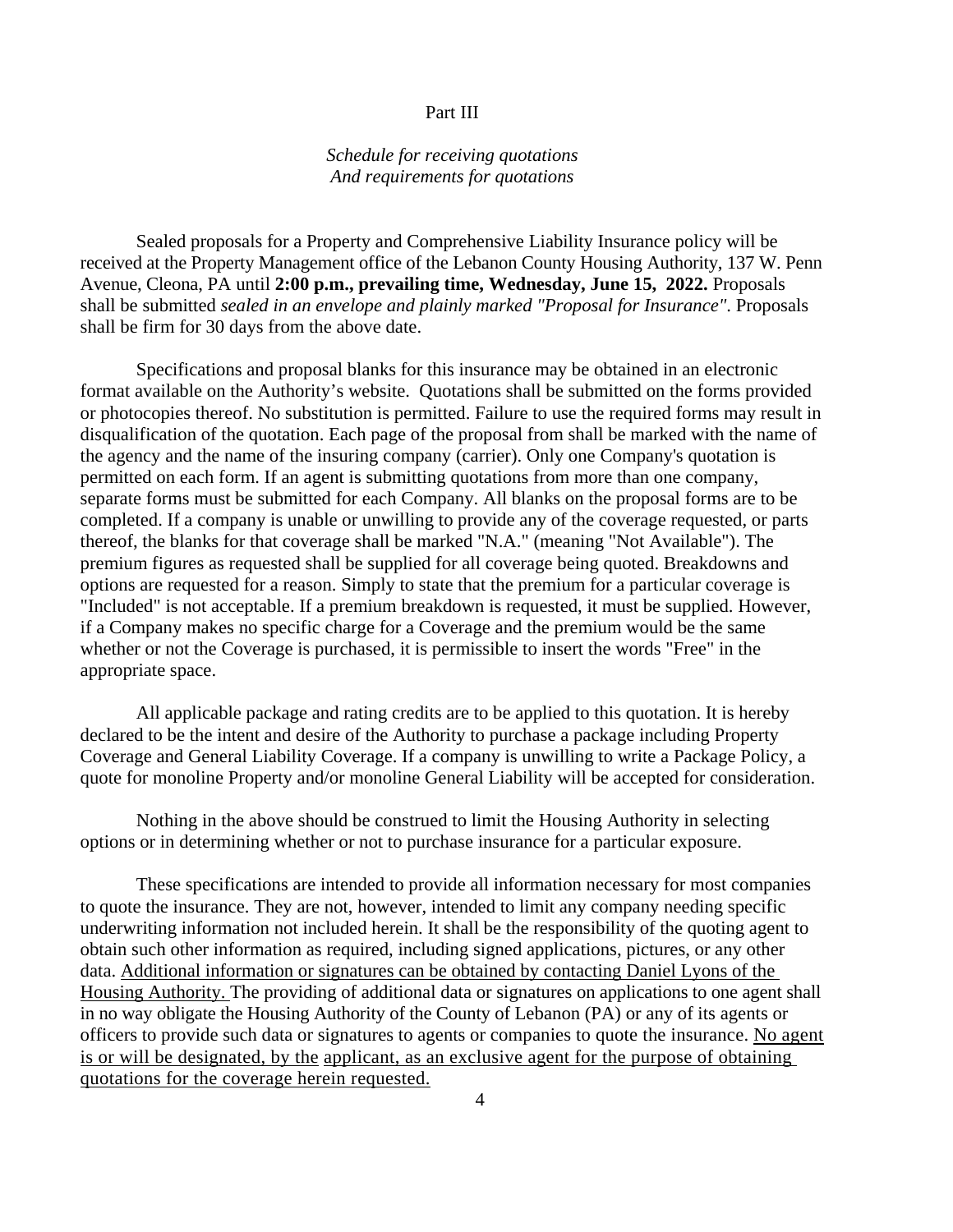#### Part III

#### *Schedule for receiving quotations And requirements for quotations*

Sealed proposals for a Property and Comprehensive Liability Insurance policy will be received at the Property Management office of the Lebanon County Housing Authority, 137 W. Penn Avenue, Cleona, PA until **2:00 p.m., prevailing time, Wednesday, June 15, 2022.** Proposals shall be submitted *sealed in an envelope and plainly marked "Proposal for Insurance"*. Proposals shall be firm for 30 days from the above date.

Specifications and proposal blanks for this insurance may be obtained in an electronic format available on the Authority's website. Quotations shall be submitted on the forms provided or photocopies thereof. No substitution is permitted. Failure to use the required forms may result in disqualification of the quotation. Each page of the proposal from shall be marked with the name of the agency and the name of the insuring company (carrier). Only one Company's quotation is permitted on each form. If an agent is submitting quotations from more than one company, separate forms must be submitted for each Company. All blanks on the proposal forms are to be completed. If a company is unable or unwilling to provide any of the coverage requested, or parts thereof, the blanks for that coverage shall be marked "N.A." (meaning "Not Available"). The premium figures as requested shall be supplied for all coverage being quoted. Breakdowns and options are requested for a reason. Simply to state that the premium for a particular coverage is "Included" is not acceptable. If a premium breakdown is requested, it must be supplied. However, if a Company makes no specific charge for a Coverage and the premium would be the same whether or not the Coverage is purchased, it is permissible to insert the words "Free" in the appropriate space.

All applicable package and rating credits are to be applied to this quotation. It is hereby declared to be the intent and desire of the Authority to purchase a package including Property Coverage and General Liability Coverage. If a company is unwilling to write a Package Policy, a quote for monoline Property and/or monoline General Liability will be accepted for consideration.

Nothing in the above should be construed to limit the Housing Authority in selecting options or in determining whether or not to purchase insurance for a particular exposure.

These specifications are intended to provide all information necessary for most companies to quote the insurance. They are not, however, intended to limit any company needing specific underwriting information not included herein. It shall be the responsibility of the quoting agent to obtain such other information as required, including signed applications, pictures, or any other data. Additional information or signatures can be obtained by contacting Daniel Lyons of the Housing Authority. The providing of additional data or signatures on applications to one agent shall in no way obligate the Housing Authority of the County of Lebanon (PA) or any of its agents or officers to provide such data or signatures to agents or companies to quote the insurance. No agent is or will be designated, by the applicant, as an exclusive agent for the purpose of obtaining quotations for the coverage herein requested.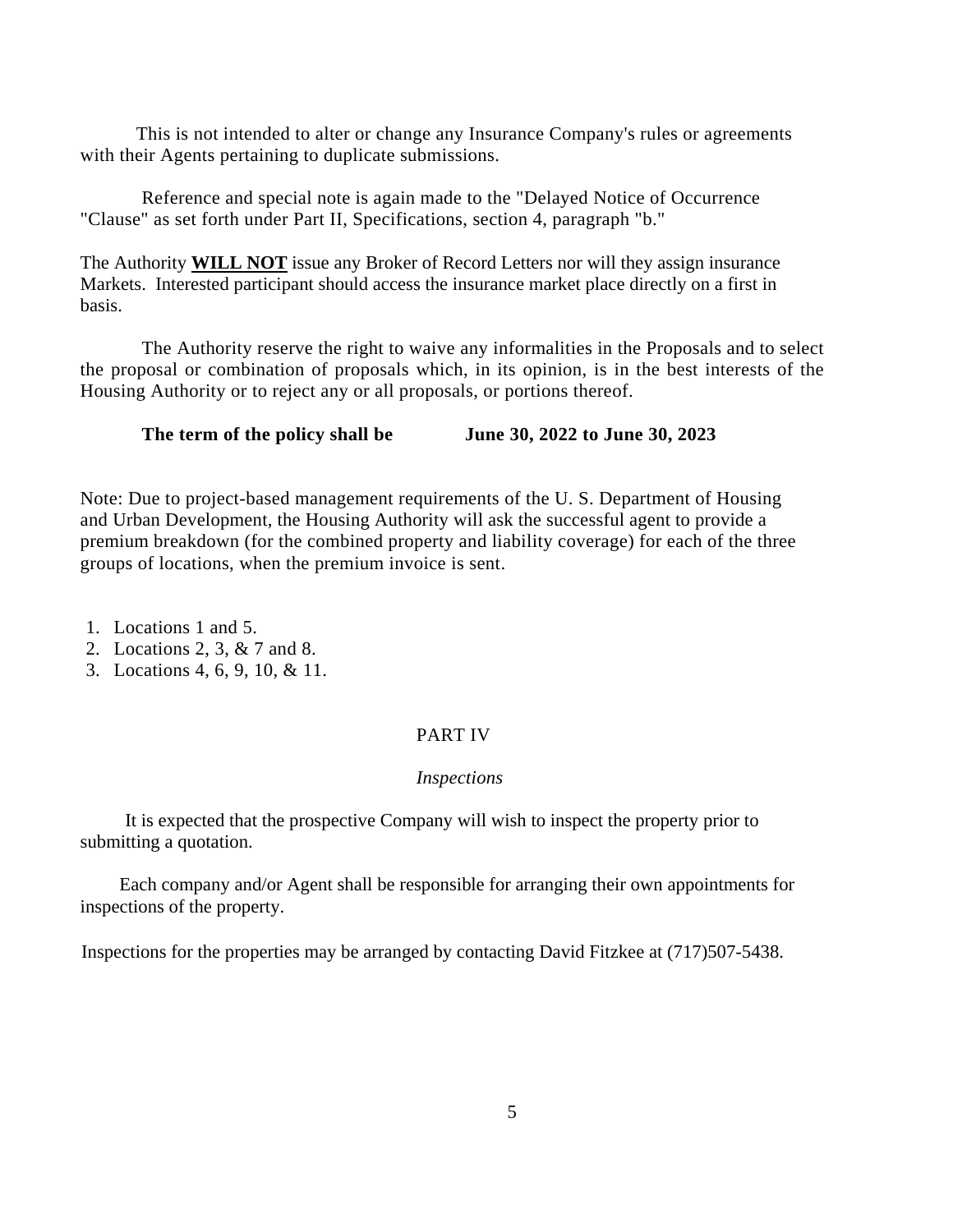This is not intended to alter or change any Insurance Company's rules or agreements with their Agents pertaining to duplicate submissions.

Reference and special note is again made to the "Delayed Notice of Occurrence "Clause" as set forth under Part II, Specifications, section 4, paragraph "b."

The Authority **WILL NOT** issue any Broker of Record Letters nor will they assign insurance Markets. Interested participant should access the insurance market place directly on a first in basis.

The Authority reserve the right to waive any informalities in the Proposals and to select the proposal or combination of proposals which, in its opinion, is in the best interests of the Housing Authority or to reject any or all proposals, or portions thereof.

**The term of the policy shall be June 30, 2022 to June 30, 2023** 

Note: Due to project-based management requirements of the U. S. Department of Housing and Urban Development, the Housing Authority will ask the successful agent to provide a premium breakdown (for the combined property and liability coverage) for each of the three groups of locations, when the premium invoice is sent.

1. Locations 1 and 5.

- 2. Locations 2, 3, & 7 and 8.
- 3. Locations 4, 6, 9, 10, & 11.

#### PART IV

#### *Inspections*

It is expected that the prospective Company will wish to inspect the property prior to submitting a quotation.

Each company and/or Agent shall be responsible for arranging their own appointments for inspections of the property.

Inspections for the properties may be arranged by contacting David Fitzkee at (717)507-5438.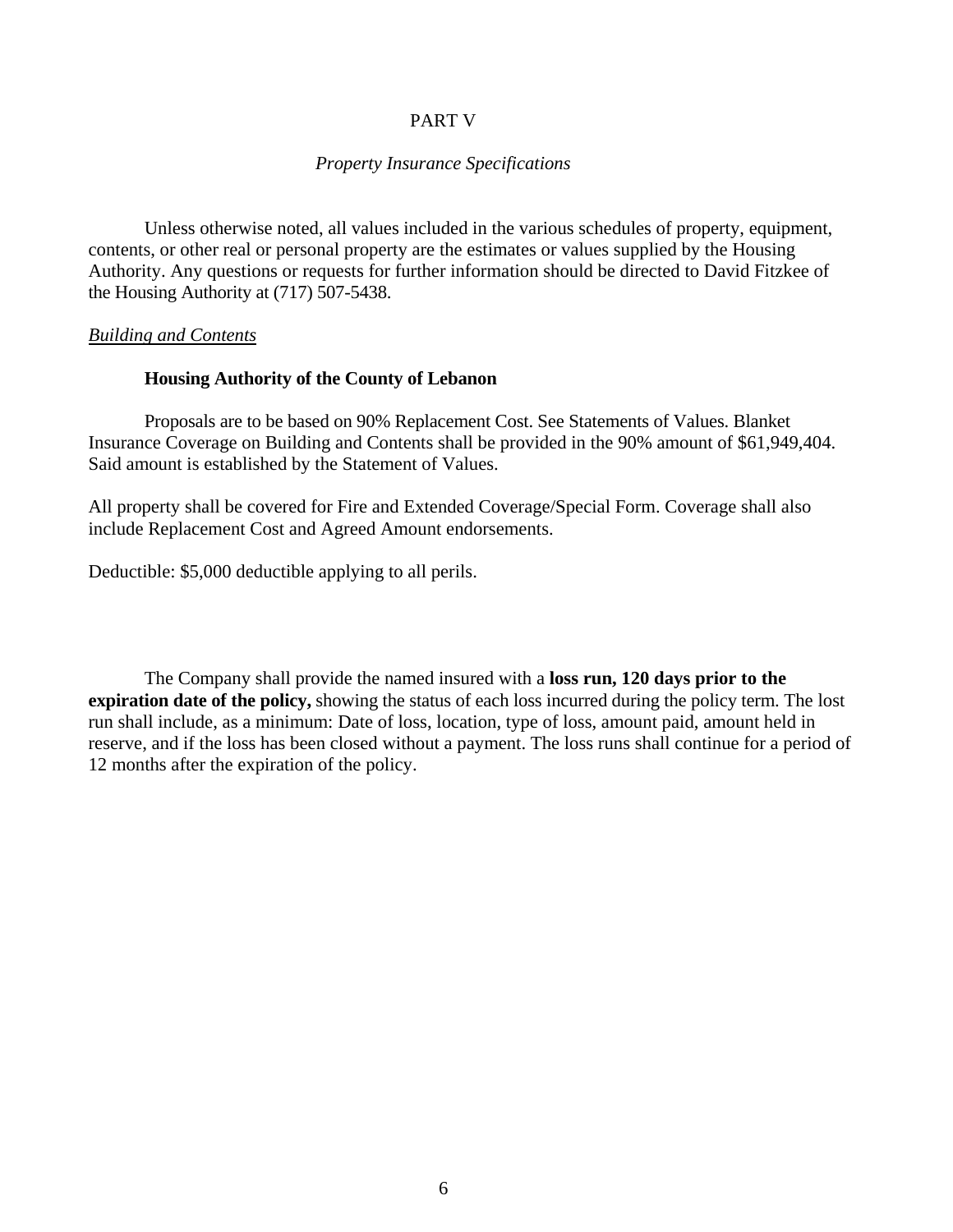#### PART V

#### *Property Insurance Specifications*

Unless otherwise noted, all values included in the various schedules of property, equipment, contents, or other real or personal property are the estimates or values supplied by the Housing Authority. Any questions or requests for further information should be directed to David Fitzkee of the Housing Authority at (717) 507-5438.

#### *Building and Contents*

#### **Housing Authority of the County of Lebanon**

Proposals are to be based on 90% Replacement Cost. See Statements of Values. Blanket Insurance Coverage on Building and Contents shall be provided in the 90% amount of \$61,949,404. Said amount is established by the Statement of Values.

All property shall be covered for Fire and Extended Coverage/Special Form. Coverage shall also include Replacement Cost and Agreed Amount endorsements.

Deductible: \$5,000 deductible applying to all perils.

The Company shall provide the named insured with a **loss run, 120 days prior to the expiration date of the policy,** showing the status of each loss incurred during the policy term. The lost run shall include, as a minimum: Date of loss, location, type of loss, amount paid, amount held in reserve, and if the loss has been closed without a payment. The loss runs shall continue for a period of 12 months after the expiration of the policy.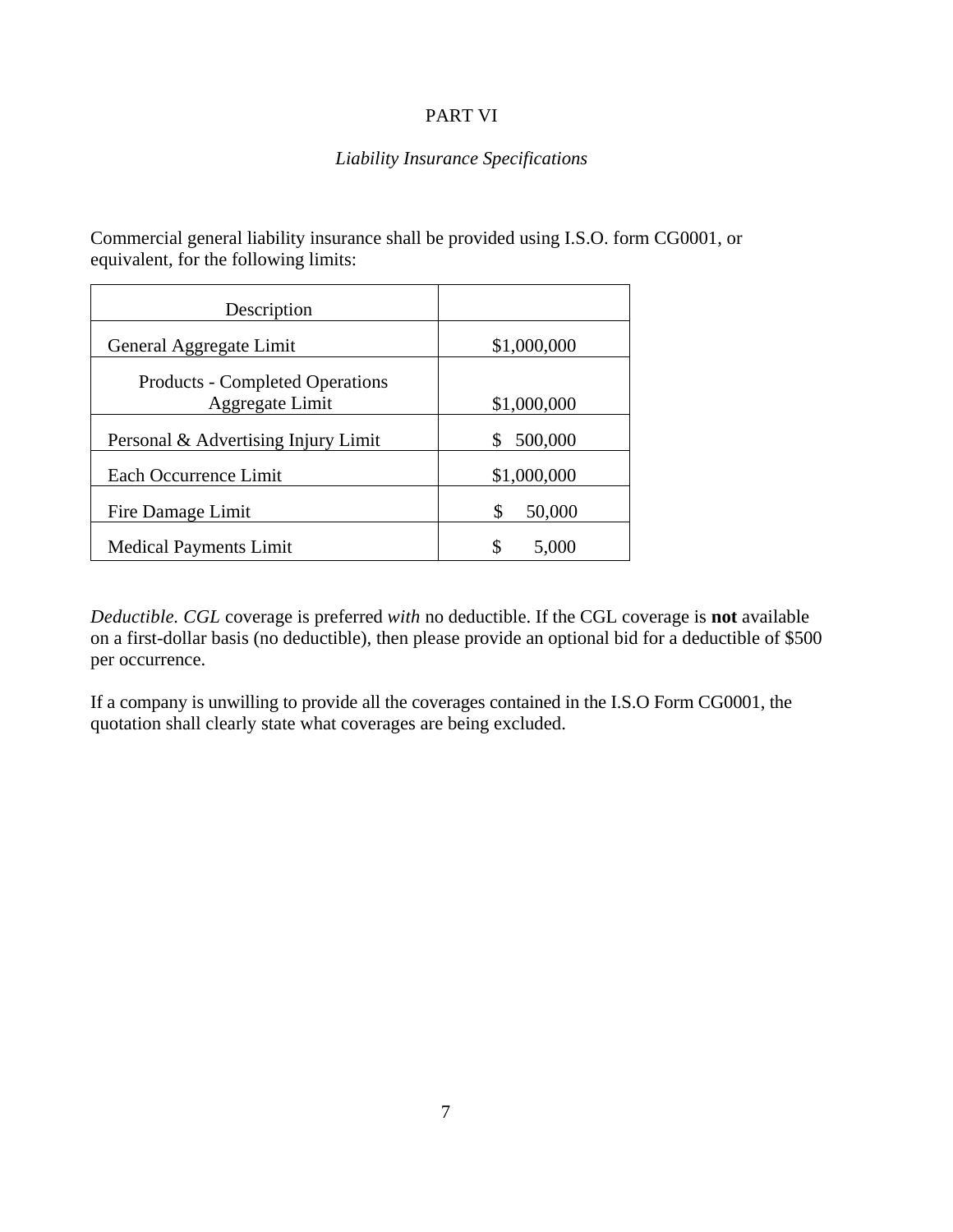#### PART VI

#### *Liability Insurance Specifications*

Commercial general liability insurance shall be provided using I.S.O. form CG0001, or equivalent, for the following limits:

| Description                                               |              |
|-----------------------------------------------------------|--------------|
| General Aggregate Limit                                   | \$1,000,000  |
| <b>Products - Completed Operations</b><br>Aggregate Limit | \$1,000,000  |
| Personal & Advertising Injury Limit                       | 500,000<br>S |
| Each Occurrence Limit                                     | \$1,000,000  |
| Fire Damage Limit                                         | \$<br>50,000 |
| <b>Medical Payments Limit</b>                             | \$<br>5,000  |

*Deductible. CGL* coverage is preferred *with* no deductible. If the CGL coverage is **not** available on a first-dollar basis (no deductible), then please provide an optional bid for a deductible of \$500 per occurrence.

If a company is unwilling to provide all the coverages contained in the I.S.O Form CG0001, the quotation shall clearly state what coverages are being excluded.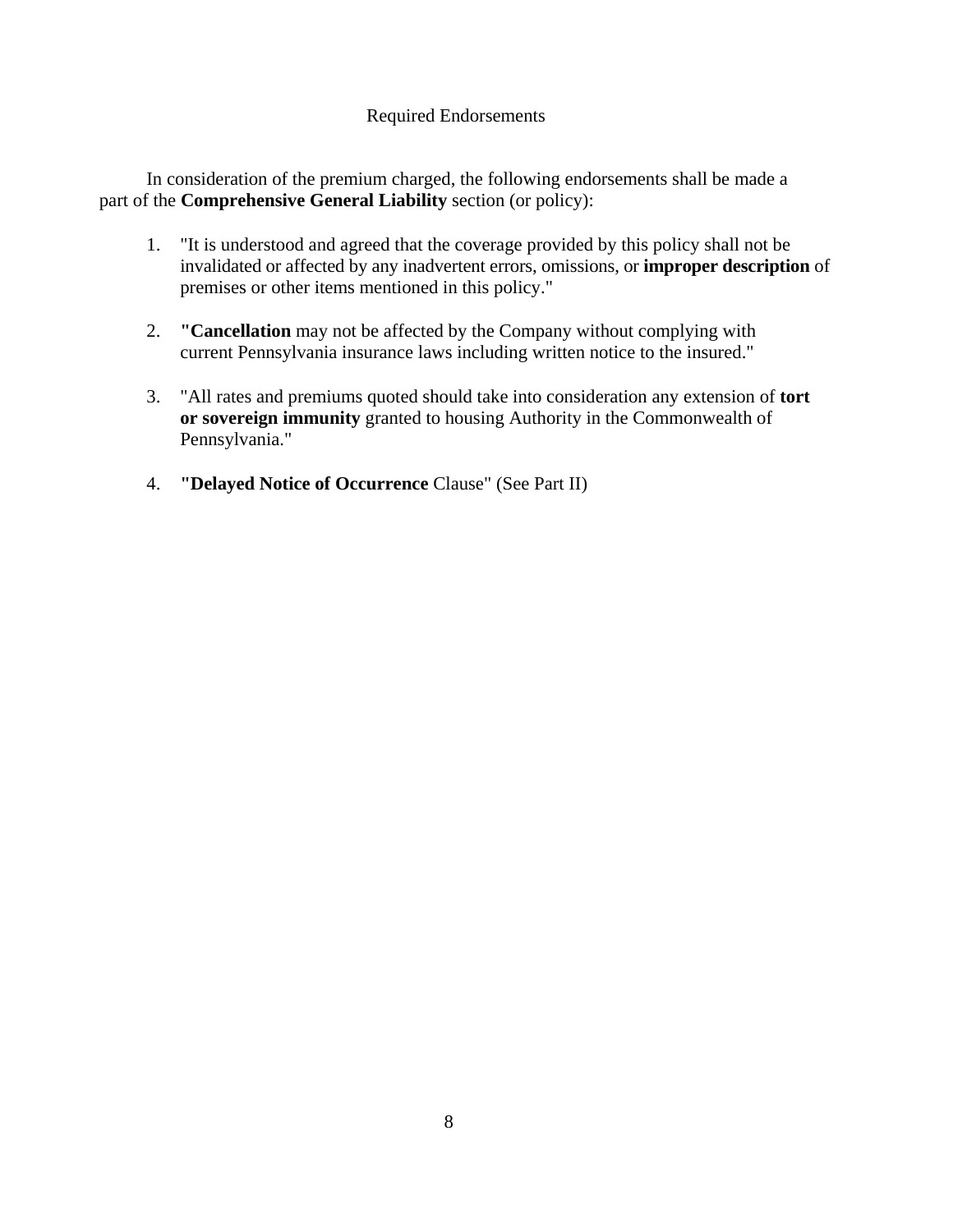#### Required Endorsements

In consideration of the premium charged, the following endorsements shall be made a part of the **Comprehensive General Liability** section (or policy):

- 1. "It is understood and agreed that the coverage provided by this policy shall not be invalidated or affected by any inadvertent errors, omissions, or **improper description** of premises or other items mentioned in this policy."
- 2. **"Cancellation** may not be affected by the Company without complying with current Pennsylvania insurance laws including written notice to the insured."
- 3. "All rates and premiums quoted should take into consideration any extension of **tort or sovereign immunity** granted to housing Authority in the Commonwealth of Pennsylvania."
- 4. **"Delayed Notice of Occurrence** Clause" (See Part II)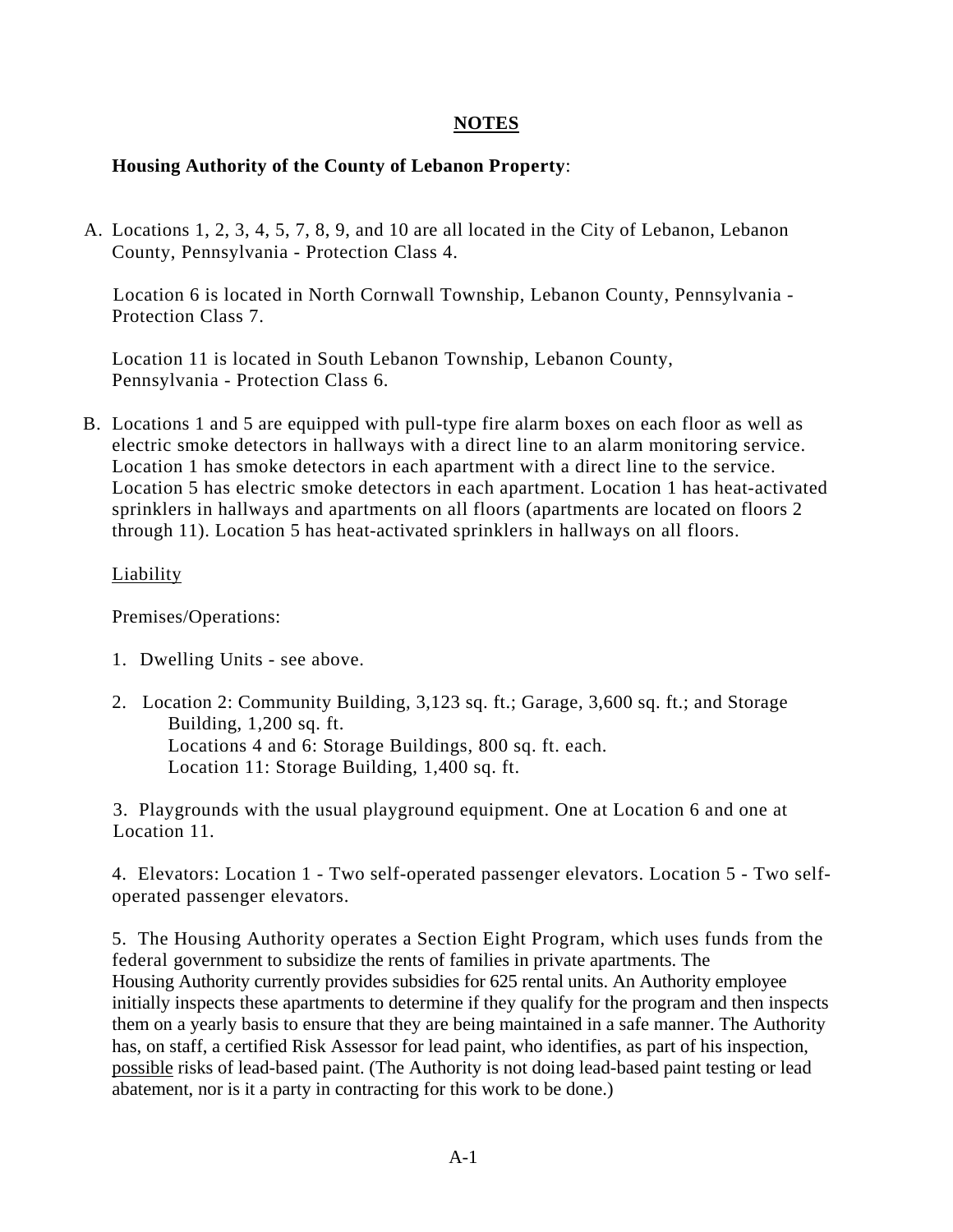#### **NOTES**

#### **Housing Authority of the County of Lebanon Property**:

A. Locations 1, 2, 3, 4, 5, 7, 8, 9, and 10 are all located in the City of Lebanon, Lebanon County, Pennsylvania - Protection Class 4.

Location 6 is located in North Cornwall Township, Lebanon County, Pennsylvania - Protection Class 7.

Location 11 is located in South Lebanon Township, Lebanon County, Pennsylvania - Protection Class 6.

 B. Locations 1 and 5 are equipped with pull-type fire alarm boxes on each floor as well as electric smoke detectors in hallways with a direct line to an alarm monitoring service. Location 1 has smoke detectors in each apartment with a direct line to the service. Location 5 has electric smoke detectors in each apartment. Location 1 has heat-activated sprinklers in hallways and apartments on all floors (apartments are located on floors 2 through 11). Location 5 has heat-activated sprinklers in hallways on all floors.

#### Liability

Premises/Operations:

- 1. Dwelling Units see above.
- 2. Location 2: Community Building, 3,123 sq. ft.; Garage, 3,600 sq. ft.; and Storage Building, 1,200 sq. ft. Locations 4 and 6: Storage Buildings, 800 sq. ft. each. Location 11: Storage Building, 1,400 sq. ft.

3. Playgrounds with the usual playground equipment. One at Location 6 and one at Location 11.

4. Elevators: Location 1 - Two self-operated passenger elevators. Location 5 - Two selfoperated passenger elevators.

5. The Housing Authority operates a Section Eight Program, which uses funds from the federal government to subsidize the rents of families in private apartments. The Housing Authority currently provides subsidies for 625 rental units. An Authority employee initially inspects these apartments to determine if they qualify for the program and then inspects them on a yearly basis to ensure that they are being maintained in a safe manner. The Authority has, on staff, a certified Risk Assessor for lead paint, who identifies, as part of his inspection, possible risks of lead-based paint. (The Authority is not doing lead-based paint testing or lead abatement, nor is it a party in contracting for this work to be done.)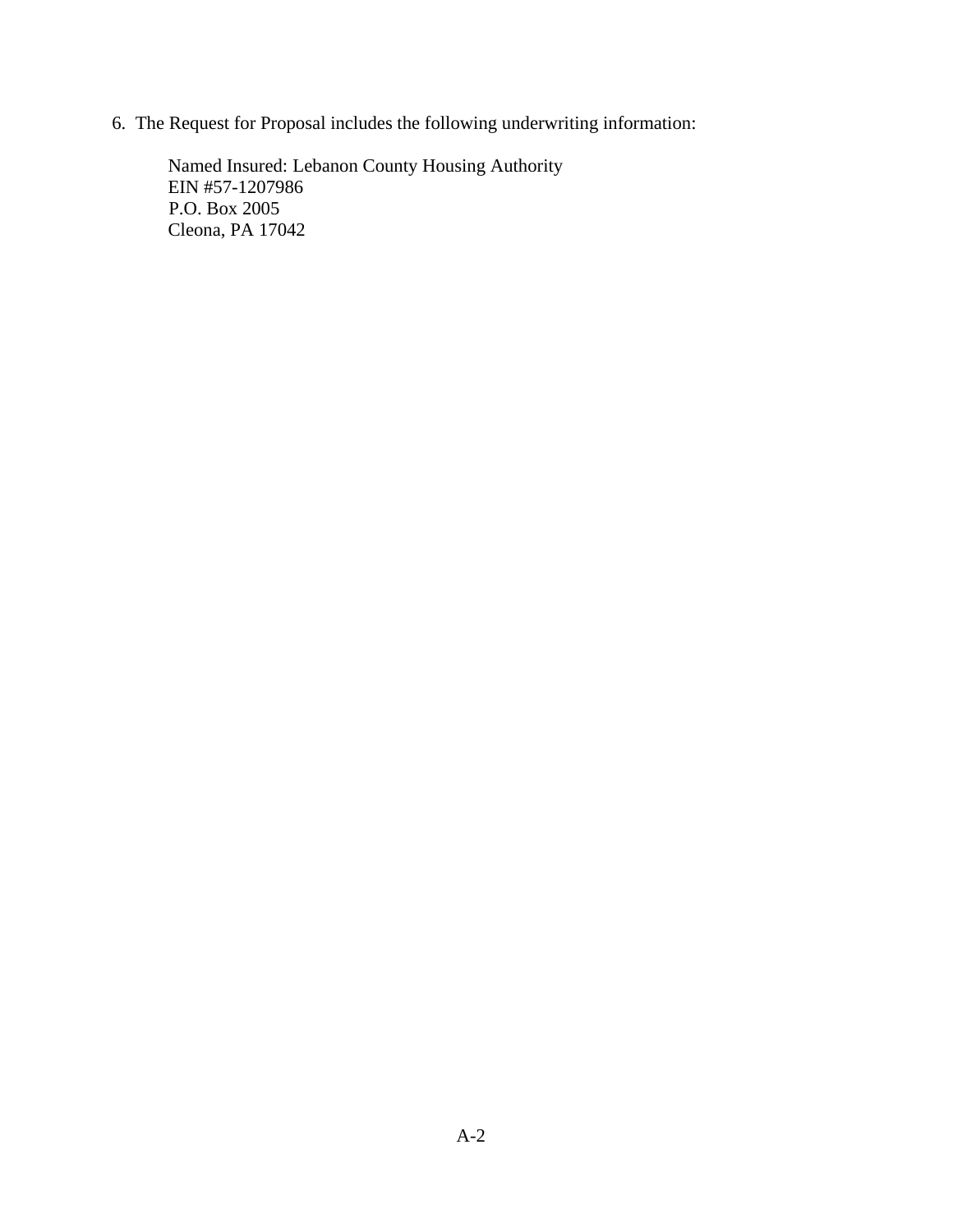6. The Request for Proposal includes the following underwriting information:

Named Insured: Lebanon County Housing Authority EIN #57-1207986 P.O. Box 2005 Cleona, PA 17042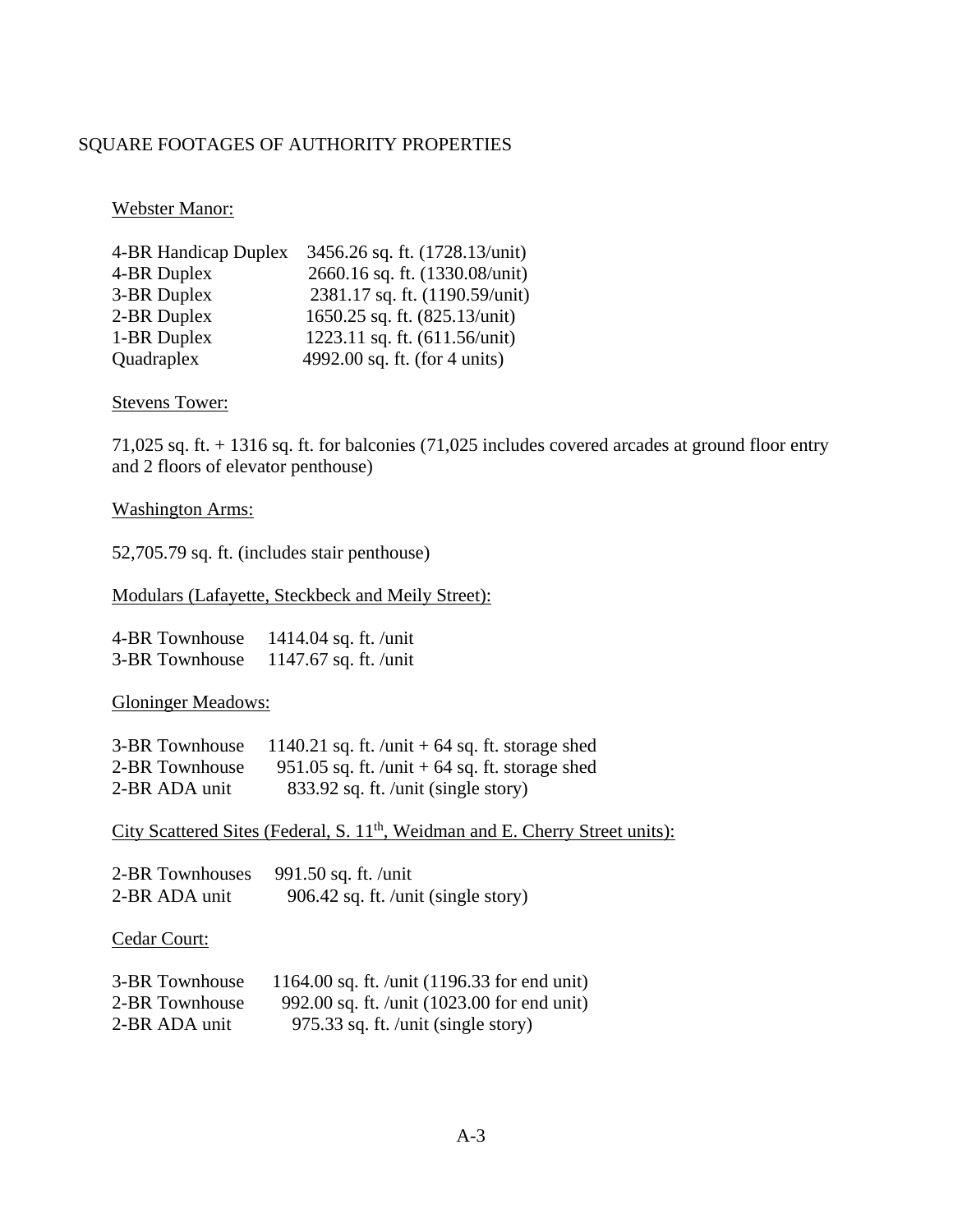### SQUARE FOOTAGES OF AUTHORITY PROPERTIES

Webster Manor:

| 4-BR Handicap Duplex | 3456.26 sq. ft. (1728.13/unit) |
|----------------------|--------------------------------|
| 4-BR Duplex          | 2660.16 sq. ft. (1330.08/unit) |
| 3-BR Duplex          | 2381.17 sq. ft. (1190.59/unit) |
| 2-BR Duplex          | 1650.25 sq. ft. (825.13/unit)  |
| 1-BR Duplex          | 1223.11 sq. ft. (611.56/unit)  |
| Quadraplex           | 4992.00 sq. ft. (for 4 units)  |

Stevens Tower:

71,025 sq. ft. + 1316 sq. ft. for balconies (71,025 includes covered arcades at ground floor entry and 2 floors of elevator penthouse)

#### Washington Arms:

52,705.79 sq. ft. (includes stair penthouse)

#### Modulars (Lafayette, Steckbeck and Meily Street):

| 4-BR Townhouse | 1414.04 sq. ft. /unit |
|----------------|-----------------------|
| 3-BR Townhouse | 1147.67 sq. ft. /unit |

Gloninger Meadows:

| 3-BR Townhouse | 1140.21 sq. ft. /unit + 64 sq. ft. storage shed  |
|----------------|--------------------------------------------------|
| 2-BR Townhouse | 951.05 sq. ft. /unit $+$ 64 sq. ft. storage shed |
| 2-BR ADA unit  | 833.92 sq. ft. /unit (single story)              |

City Scattered Sites (Federal, S. 11<sup>th</sup>, Weidman and E. Cherry Street units):

| 2-BR Townhouses | 991.50 sq. ft. /unit                |
|-----------------|-------------------------------------|
| 2-BR ADA unit   | 906.42 sq. ft. /unit (single story) |

Cedar Court:

| 3-BR Townhouse | 1164.00 sq. ft. /unit $(1196.33$ for end unit) |
|----------------|------------------------------------------------|
| 2-BR Townhouse | 992.00 sq. ft. /unit (1023.00 for end unit)    |
| 2-BR ADA unit  | 975.33 sq. ft. /unit (single story)            |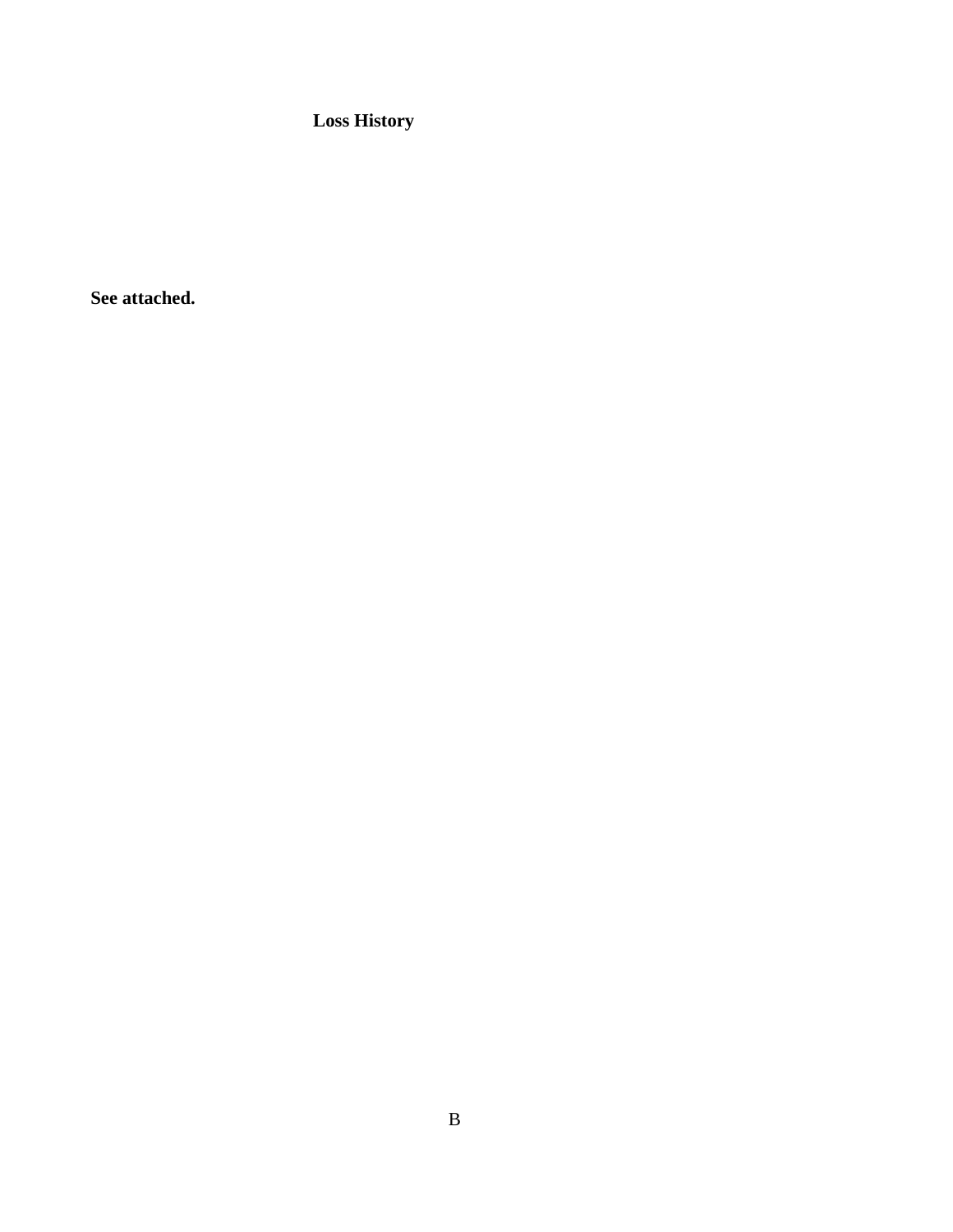**Loss History** 

**See attached.**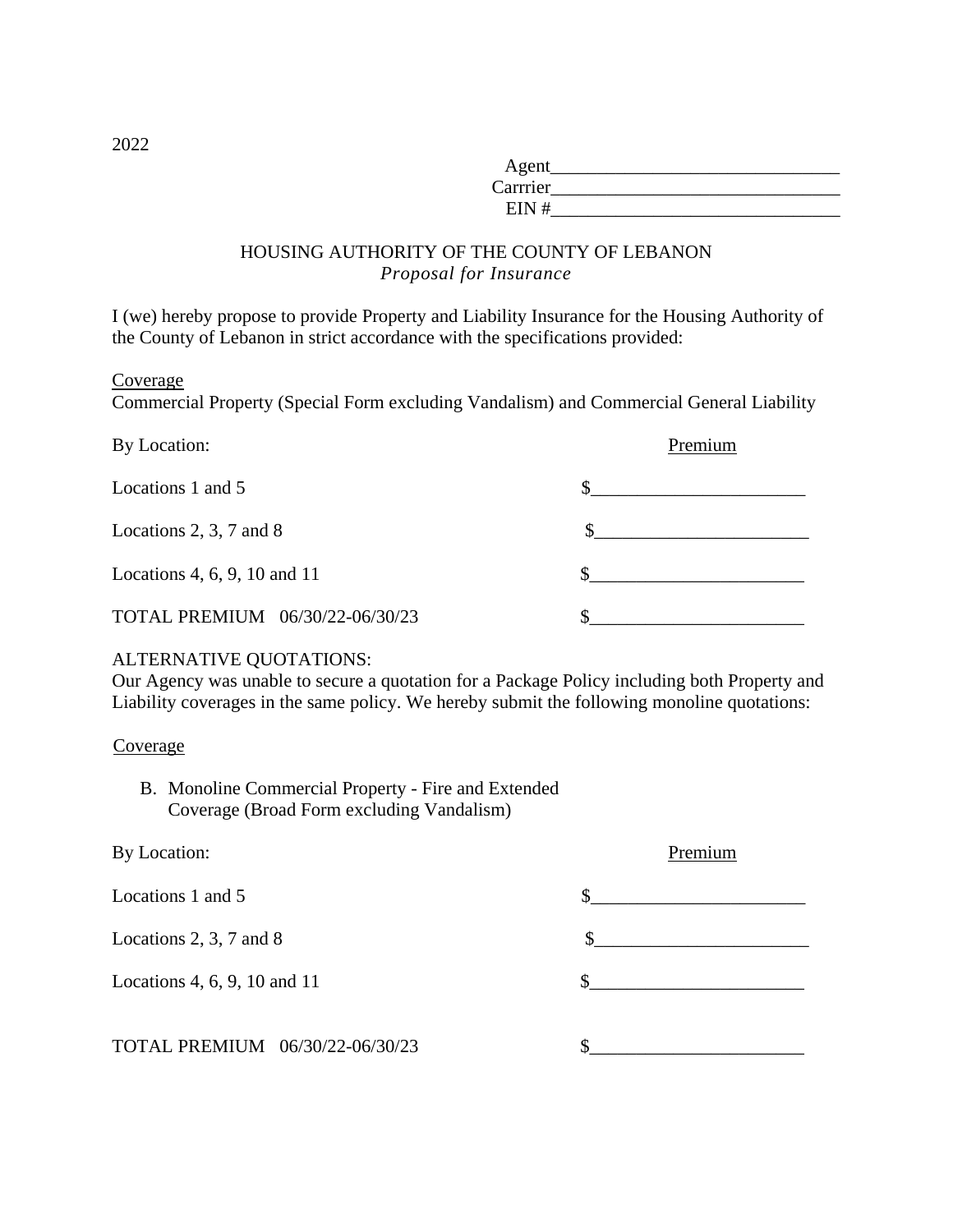| Agent    |  |
|----------|--|
| Carrrier |  |
| EIN#     |  |

#### HOUSING AUTHORITY OF THE COUNTY OF LEBANON *Proposal for Insurance*

I (we) hereby propose to provide Property and Liability Insurance for the Housing Authority of the County of Lebanon in strict accordance with the specifications provided:

Coverage

Commercial Property (Special Form excluding Vandalism) and Commercial General Liability

| By Location:                    | Premium |
|---------------------------------|---------|
| Locations 1 and 5               |         |
| Locations $2, 3, 7$ and $8$     |         |
| Locations 4, 6, 9, 10 and 11    |         |
| TOTAL PREMIUM 06/30/22-06/30/23 |         |

#### ALTERNATIVE QUOTATIONS:

Our Agency was unable to secure a quotation for a Package Policy including both Property and Liability coverages in the same policy. We hereby submit the following monoline quotations:

#### Coverage

B. Monoline Commercial Property - Fire and Extended Coverage (Broad Form excluding Vandalism)

| By Location:                    | Premium |
|---------------------------------|---------|
| Locations 1 and 5               |         |
| Locations 2, 3, 7 and 8         |         |
| Locations 4, 6, 9, 10 and 11    | S       |
| TOTAL PREMIUM 06/30/22-06/30/23 |         |

2022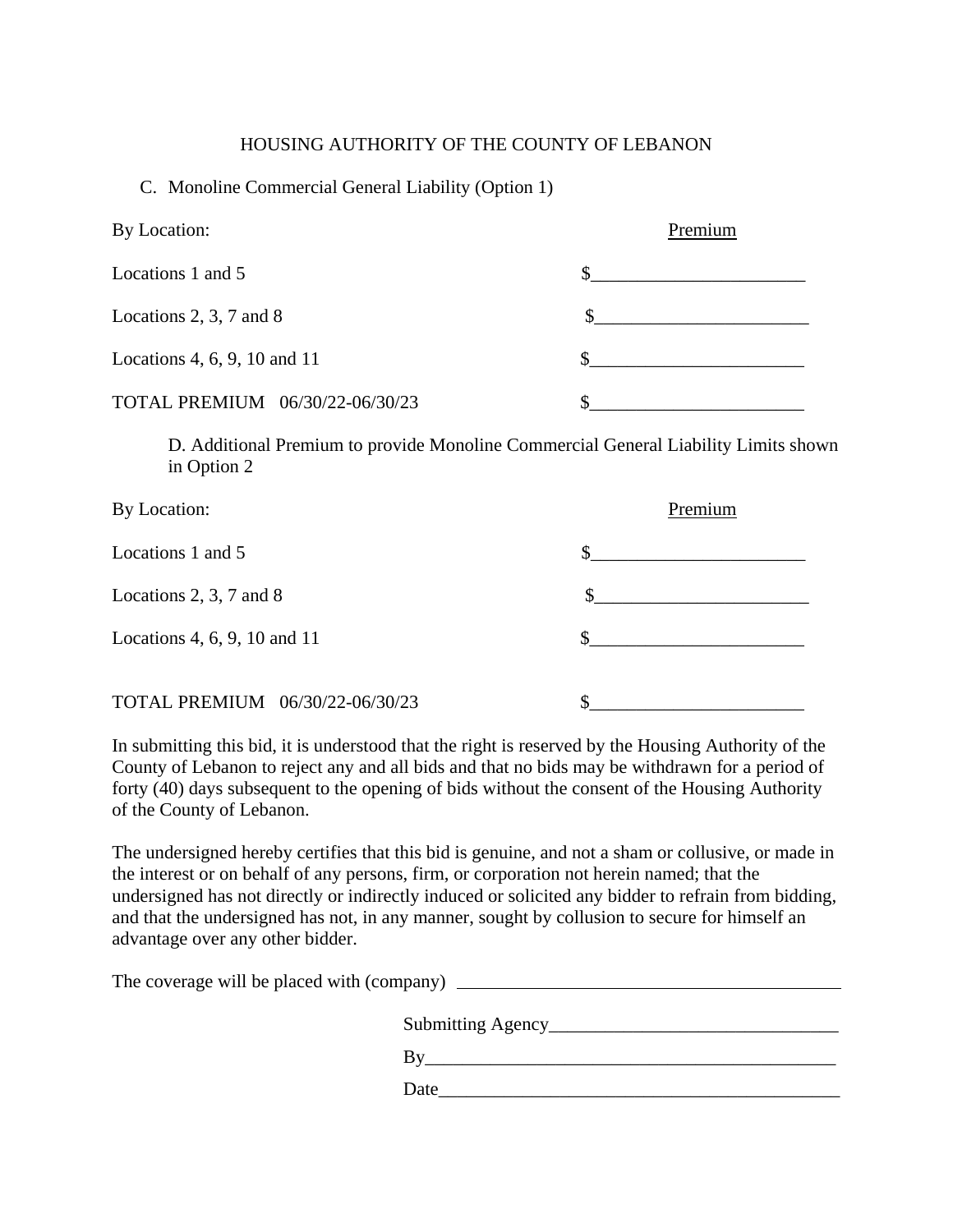#### HOUSING AUTHORITY OF THE COUNTY OF LEBANON

#### C. Monoline Commercial General Liability (Option 1)

| By Location:                    | Premium |
|---------------------------------|---------|
| Locations 1 and 5               |         |
| Locations 2, 3, 7 and 8         |         |
| Locations 4, 6, 9, 10 and 11    |         |
| TOTAL PREMIUM 06/30/22-06/30/23 |         |

D. Additional Premium to provide Monoline Commercial General Liability Limits shown in Option 2

| By Location:                    | Premium |
|---------------------------------|---------|
| Locations 1 and 5               | S       |
| Locations 2, 3, 7 and 8         |         |
| Locations 4, 6, 9, 10 and 11    | S       |
| TOTAL PREMIUM 06/30/22-06/30/23 | S       |

In submitting this bid, it is understood that the right is reserved by the Housing Authority of the County of Lebanon to reject any and all bids and that no bids may be withdrawn for a period of forty (40) days subsequent to the opening of bids without the consent of the Housing Authority of the County of Lebanon.

The undersigned hereby certifies that this bid is genuine, and not a sham or collusive, or made in the interest or on behalf of any persons, firm, or corporation not herein named; that the undersigned has not directly or indirectly induced or solicited any bidder to refrain from bidding, and that the undersigned has not, in any manner, sought by collusion to secure for himself an advantage over any other bidder.

The coverage will be placed with (company)

| <b>Submitting Agency</b> |
|--------------------------|
| В١                       |
| Date                     |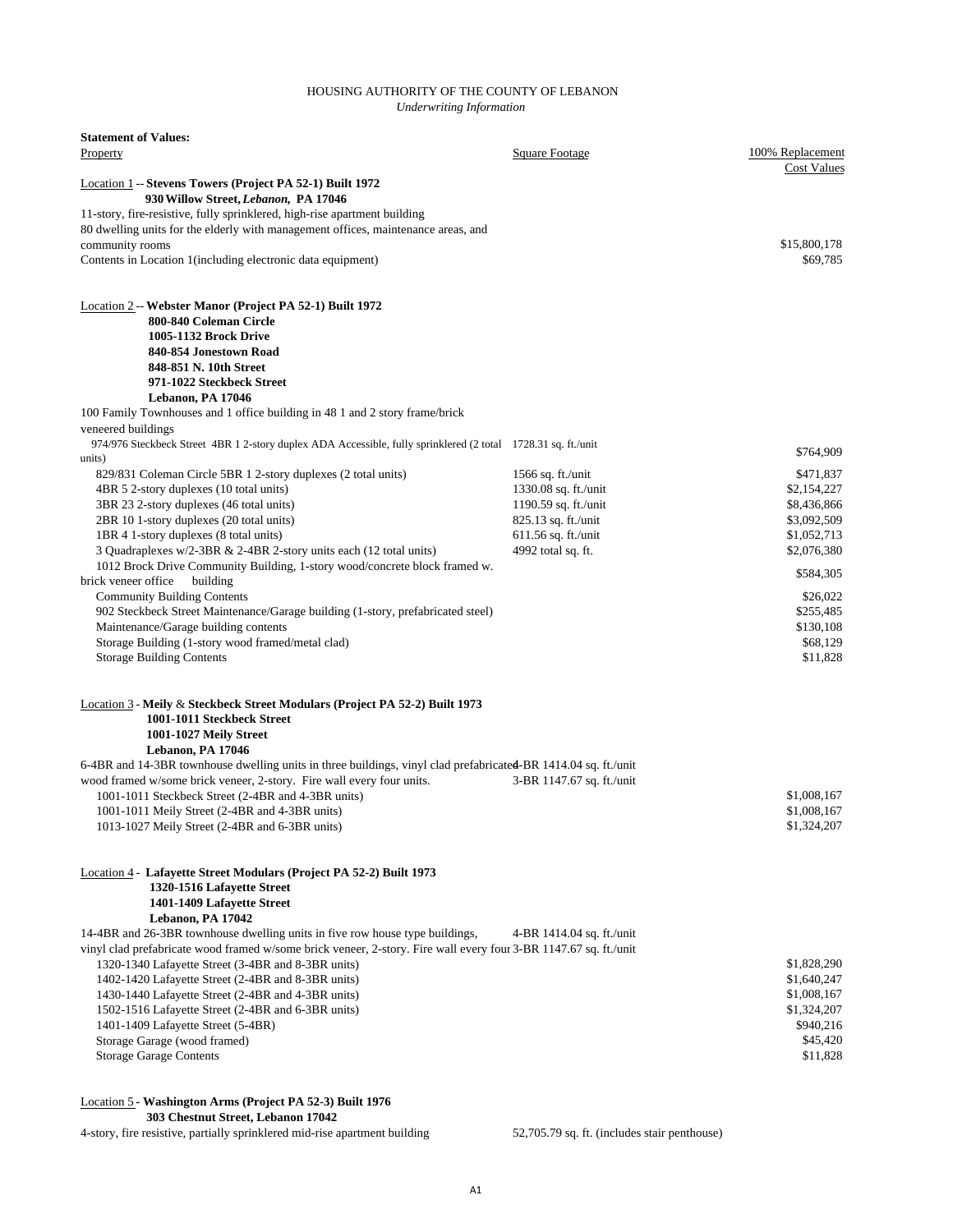#### HOUSING AUTHORITY OF THE COUNTY OF LEBANON *Underwriting Information*

| <b>Statement of Values:</b>                                                                                           |                                              |                            |
|-----------------------------------------------------------------------------------------------------------------------|----------------------------------------------|----------------------------|
| Property                                                                                                              | Square Footage                               | 100% Replacement           |
| <b>Location 1 -- Stevens Towers (Project PA 52-1) Built 1972</b>                                                      |                                              | <b>Cost Values</b>         |
| 930 Willow Street, Lebanon, PA 17046                                                                                  |                                              |                            |
| 11-story, fire-resistive, fully sprinklered, high-rise apartment building                                             |                                              |                            |
| 80 dwelling units for the elderly with management offices, maintenance areas, and                                     |                                              |                            |
| community rooms<br>Contents in Location 1 (including electronic data equipment)                                       |                                              | \$15,800,178<br>\$69,785   |
|                                                                                                                       |                                              |                            |
| Location 2 -- Webster Manor (Project PA 52-1) Built 1972                                                              |                                              |                            |
| 800-840 Coleman Circle                                                                                                |                                              |                            |
| <b>1005-1132 Brock Drive</b>                                                                                          |                                              |                            |
| 840-854 Jonestown Road                                                                                                |                                              |                            |
| 848-851 N. 10th Street<br>971-1022 Steckbeck Street                                                                   |                                              |                            |
| Lebanon, PA 17046                                                                                                     |                                              |                            |
| 100 Family Townhouses and 1 office building in 48 1 and 2 story frame/brick                                           |                                              |                            |
| veneered buildings                                                                                                    |                                              |                            |
| 974/976 Steckbeck Street 4BR 1 2-story duplex ADA Accessible, fully sprinklered (2 total 1728.31 sq. ft./unit         |                                              | \$764,909                  |
| units)                                                                                                                |                                              |                            |
| 829/831 Coleman Circle 5BR 1 2-story duplexes (2 total units)<br>4BR 5 2-story duplexes (10 total units)              | 1566 sq. ft./unit                            | \$471,837                  |
| 3BR 23 2-story duplexes (46 total units)                                                                              | 1330.08 sq. ft./unit<br>1190.59 sq. ft./unit | \$2,154,227<br>\$8,436,866 |
| 2BR 10 1-story duplexes (20 total units)                                                                              | 825.13 sq. ft./unit                          | \$3,092,509                |
| 1BR 4 1-story duplexes (8 total units)                                                                                | 611.56 sq. ft./unit                          | \$1,052,713                |
| 3 Quadraplexes w/2-3BR & 2-4BR 2-story units each (12 total units)                                                    | 4992 total sq. ft.                           | \$2,076,380                |
| 1012 Brock Drive Community Building, 1-story wood/concrete block framed w.                                            |                                              | \$584,305                  |
| brick veneer office<br>building                                                                                       |                                              |                            |
| <b>Community Building Contents</b><br>902 Steckbeck Street Maintenance/Garage building (1-story, prefabricated steel) |                                              | \$26,022<br>\$255,485      |
| Maintenance/Garage building contents                                                                                  |                                              | \$130,108                  |
| Storage Building (1-story wood framed/metal clad)                                                                     |                                              | \$68,129                   |
| <b>Storage Building Contents</b>                                                                                      |                                              | \$11,828                   |
| <b>Location 3 - Meily &amp; Steckbeck Street Modulars (Project PA 52-2) Built 1973</b>                                |                                              |                            |
| 1001-1011 Steckbeck Street                                                                                            |                                              |                            |
| 1001-1027 Meily Street                                                                                                |                                              |                            |
| Lebanon, PA 17046                                                                                                     |                                              |                            |
| 6-4BR and 14-3BR townhouse dwelling units in three buildings, vinyl clad prefabricated-BR 1414.04 sq. ft./unit        |                                              |                            |
| wood framed w/some brick veneer, 2-story. Fire wall every four units.                                                 | 3-BR 1147.67 sq. ft./unit                    | \$1,008,167                |
| 1001-1011 Steckbeck Street (2-4BR and 4-3BR units)<br>1001-1011 Meily Street (2-4BR and 4-3BR units)                  |                                              | \$1,008,167                |
| 1013-1027 Meily Street (2-4BR and 6-3BR units)                                                                        |                                              | \$1,324,207                |
|                                                                                                                       |                                              |                            |
| Location 4 - Lafayette Street Modulars (Project PA 52-2) Built 1973                                                   |                                              |                            |
| 1320-1516 Lafayette Street                                                                                            |                                              |                            |
| 1401-1409 Lafayette Street<br>Lebanon, PA 17042                                                                       |                                              |                            |
| 14-4BR and 26-3BR townhouse dwelling units in five row house type buildings,                                          | 4-BR 1414.04 sq. ft./unit                    |                            |
| vinyl clad prefabricate wood framed w/some brick veneer, 2-story. Fire wall every four 3-BR 1147.67 sq. ft./unit      |                                              |                            |
| 1320-1340 Lafayette Street (3-4BR and 8-3BR units)                                                                    |                                              | \$1,828,290                |
| 1402-1420 Lafayette Street (2-4BR and 8-3BR units)                                                                    |                                              | \$1,640,247                |
| 1430-1440 Lafayette Street (2-4BR and 4-3BR units)                                                                    |                                              | \$1,008,167                |
| 1502-1516 Lafayette Street (2-4BR and 6-3BR units)<br>1401-1409 Lafayette Street (5-4BR)                              |                                              | \$1,324,207<br>\$940,216   |
| Storage Garage (wood framed)                                                                                          |                                              | \$45,420                   |
| <b>Storage Garage Contents</b>                                                                                        |                                              | \$11,828                   |

Location 5 **- Washington Arms (Project PA 52-3) Built 1976 303 Chestnut Street, Lebanon 17042**

4-story, fire resistive, partially sprinklered mid-rise apartment building 52,705.79 sq. ft. (includes stair penthouse)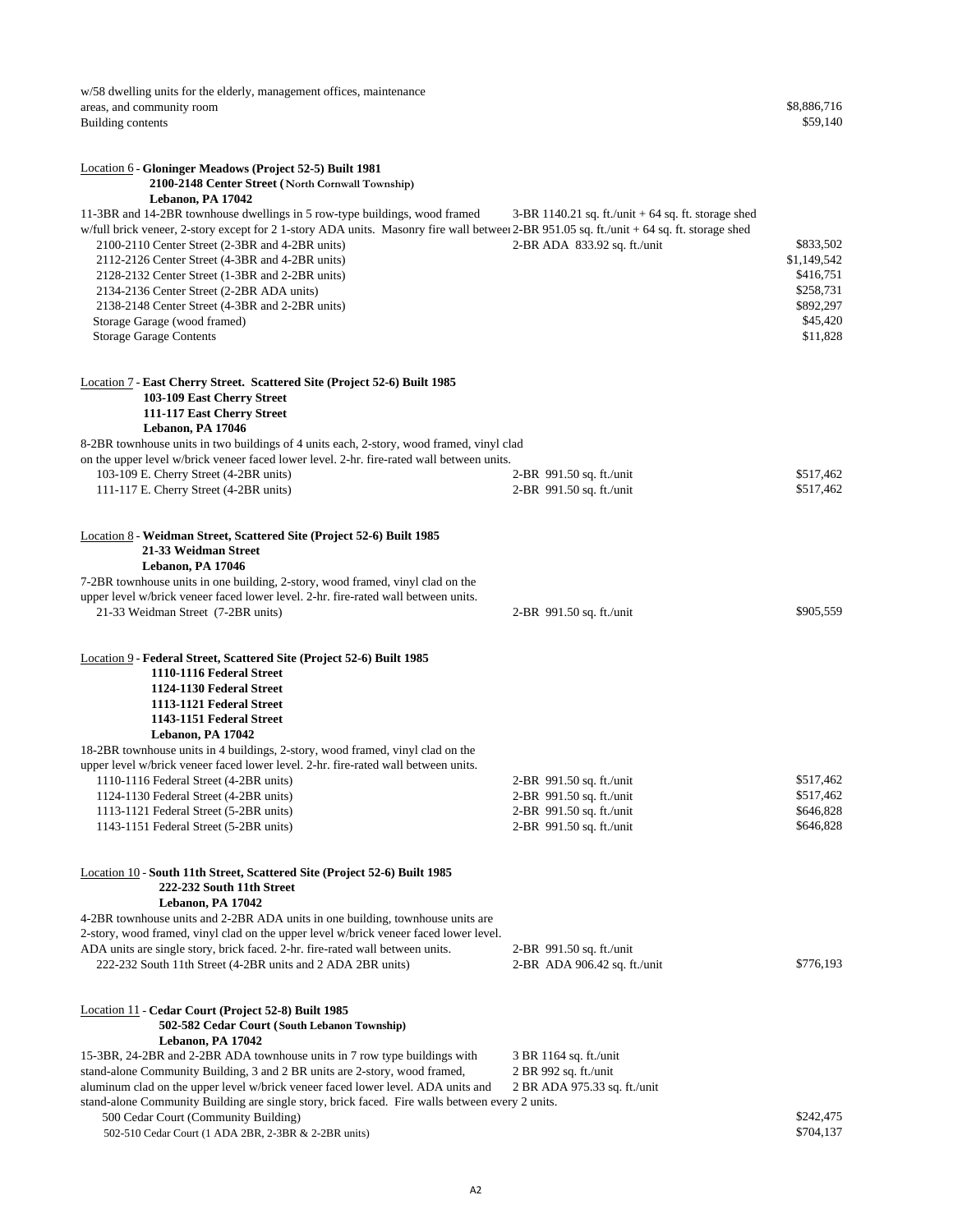w/58 dwelling units for the elderly, management offices, maintenance areas, and community room \$8,886,716<br>Building contents \$59,140 Building contents

| <b>Location 6 - Gloninger Meadows (Project 52-5) Built 1981</b>                                                                                                                                                                                                                                                                                                                                                                                                                                                                                                         |                                                                                       |                                                                                         |
|-------------------------------------------------------------------------------------------------------------------------------------------------------------------------------------------------------------------------------------------------------------------------------------------------------------------------------------------------------------------------------------------------------------------------------------------------------------------------------------------------------------------------------------------------------------------------|---------------------------------------------------------------------------------------|-----------------------------------------------------------------------------------------|
| 2100-2148 Center Street (North Cornwall Township)                                                                                                                                                                                                                                                                                                                                                                                                                                                                                                                       |                                                                                       |                                                                                         |
| Lebanon, PA 17042<br>11-3BR and 14-2BR townhouse dwellings in 5 row-type buildings, wood framed<br>w/full brick veneer, 2-story except for 2 1-story ADA units. Masonry fire wall between 2-BR 951.05 sq. ft./unit + 64 sq. ft. storage shed<br>2100-2110 Center Street (2-3BR and 4-2BR units)<br>2112-2126 Center Street (4-3BR and 4-2BR units)<br>2128-2132 Center Street (1-3BR and 2-2BR units)<br>2134-2136 Center Street (2-2BR ADA units)<br>2138-2148 Center Street (4-3BR and 2-2BR units)<br>Storage Garage (wood framed)<br><b>Storage Garage Contents</b> | $3-BR$ 1140.21 sq. ft./unit + 64 sq. ft. storage shed<br>2-BR ADA 833.92 sq. ft./unit | \$833,502<br>\$1,149,542<br>\$416,751<br>\$258,731<br>\$892,297<br>\$45,420<br>\$11,828 |
| Location 7 - East Cherry Street. Scattered Site (Project 52-6) Built 1985<br>103-109 East Cherry Street<br>111-117 East Cherry Street<br>Lebanon, PA 17046<br>8-2BR townhouse units in two buildings of 4 units each, 2-story, wood framed, vinyl clad                                                                                                                                                                                                                                                                                                                  |                                                                                       |                                                                                         |
| on the upper level w/brick veneer faced lower level. 2-hr. fire-rated wall between units.                                                                                                                                                                                                                                                                                                                                                                                                                                                                               |                                                                                       |                                                                                         |
| 103-109 E. Cherry Street (4-2BR units)<br>111-117 E. Cherry Street (4-2BR units)                                                                                                                                                                                                                                                                                                                                                                                                                                                                                        | 2-BR 991.50 sq. ft./unit<br>2-BR 991.50 sq. ft./unit                                  | \$517,462<br>\$517,462                                                                  |
| Location 8 - Weidman Street, Scattered Site (Project 52-6) Built 1985<br>21-33 Weidman Street<br>Lebanon, PA 17046<br>7-2BR townhouse units in one building, 2-story, wood framed, vinyl clad on the                                                                                                                                                                                                                                                                                                                                                                    |                                                                                       |                                                                                         |
| upper level w/brick veneer faced lower level. 2-hr. fire-rated wall between units.<br>21-33 Weidman Street (7-2BR units)                                                                                                                                                                                                                                                                                                                                                                                                                                                | 2-BR 991.50 sq. ft./unit                                                              | \$905,559                                                                               |
| Location 9 - Federal Street, Scattered Site (Project 52-6) Built 1985<br>1110-1116 Federal Street<br>1124-1130 Federal Street<br>1113-1121 Federal Street<br>1143-1151 Federal Street<br>Lebanon, PA 17042                                                                                                                                                                                                                                                                                                                                                              |                                                                                       |                                                                                         |
| 18-2BR townhouse units in 4 buildings, 2-story, wood framed, vinyl clad on the                                                                                                                                                                                                                                                                                                                                                                                                                                                                                          |                                                                                       |                                                                                         |
| upper level w/brick veneer faced lower level. 2-hr. fire-rated wall between units.                                                                                                                                                                                                                                                                                                                                                                                                                                                                                      |                                                                                       |                                                                                         |
| 1110-1116 Federal Street (4-2BR units)                                                                                                                                                                                                                                                                                                                                                                                                                                                                                                                                  | 2-BR 991.50 sq. ft./unit                                                              | \$517,462                                                                               |
| 1124-1130 Federal Street (4-2BR units)                                                                                                                                                                                                                                                                                                                                                                                                                                                                                                                                  | 2-BR 991.50 sq. ft./unit                                                              | \$517,462                                                                               |
| 1113-1121 Federal Street (5-2BR units)<br>1143-1151 Federal Street (5-2BR units)                                                                                                                                                                                                                                                                                                                                                                                                                                                                                        | 2-BR 991.50 sq. ft./unit<br>2-BR 991.50 sq. ft./unit                                  | \$646,828<br>\$646,828                                                                  |
| Location 10 - South 11th Street, Scattered Site (Project 52-6) Built 1985<br>222-232 South 11th Street<br>Lebanon, PA 17042                                                                                                                                                                                                                                                                                                                                                                                                                                             |                                                                                       |                                                                                         |
| 4-2BR townhouse units and 2-2BR ADA units in one building, townhouse units are                                                                                                                                                                                                                                                                                                                                                                                                                                                                                          |                                                                                       |                                                                                         |
| 2-story, wood framed, vinyl clad on the upper level w/brick veneer faced lower level.<br>ADA units are single story, brick faced. 2-hr. fire-rated wall between units.                                                                                                                                                                                                                                                                                                                                                                                                  | 2-BR 991.50 sq. ft./unit                                                              |                                                                                         |
| 222-232 South 11th Street (4-2BR units and 2 ADA 2BR units)                                                                                                                                                                                                                                                                                                                                                                                                                                                                                                             | 2-BR ADA 906.42 sq. ft./unit                                                          | \$776,193                                                                               |
| <b>Location 11 - Cedar Court (Project 52-8) Built 1985</b><br>502-582 Cedar Court (South Lebanon Township)<br>Lebanon, PA 17042                                                                                                                                                                                                                                                                                                                                                                                                                                         |                                                                                       |                                                                                         |
| 15-3BR, 24-2BR and 2-2BR ADA townhouse units in 7 row type buildings with<br>stand-alone Community Building, 3 and 2 BR units are 2-story, wood framed,<br>aluminum clad on the upper level w/brick veneer faced lower level. ADA units and                                                                                                                                                                                                                                                                                                                             | 3 BR 1164 sq. ft./unit<br>2 BR 992 sq. ft./unit<br>2 BR ADA 975.33 sq. ft./unit       |                                                                                         |
| stand-alone Community Building are single story, brick faced. Fire walls between every 2 units.                                                                                                                                                                                                                                                                                                                                                                                                                                                                         |                                                                                       | \$242,475                                                                               |
| 500 Cedar Court (Community Building)<br>502-510 Cedar Court (1 ADA 2BR, 2-3BR & 2-2BR units)                                                                                                                                                                                                                                                                                                                                                                                                                                                                            |                                                                                       | \$704,137                                                                               |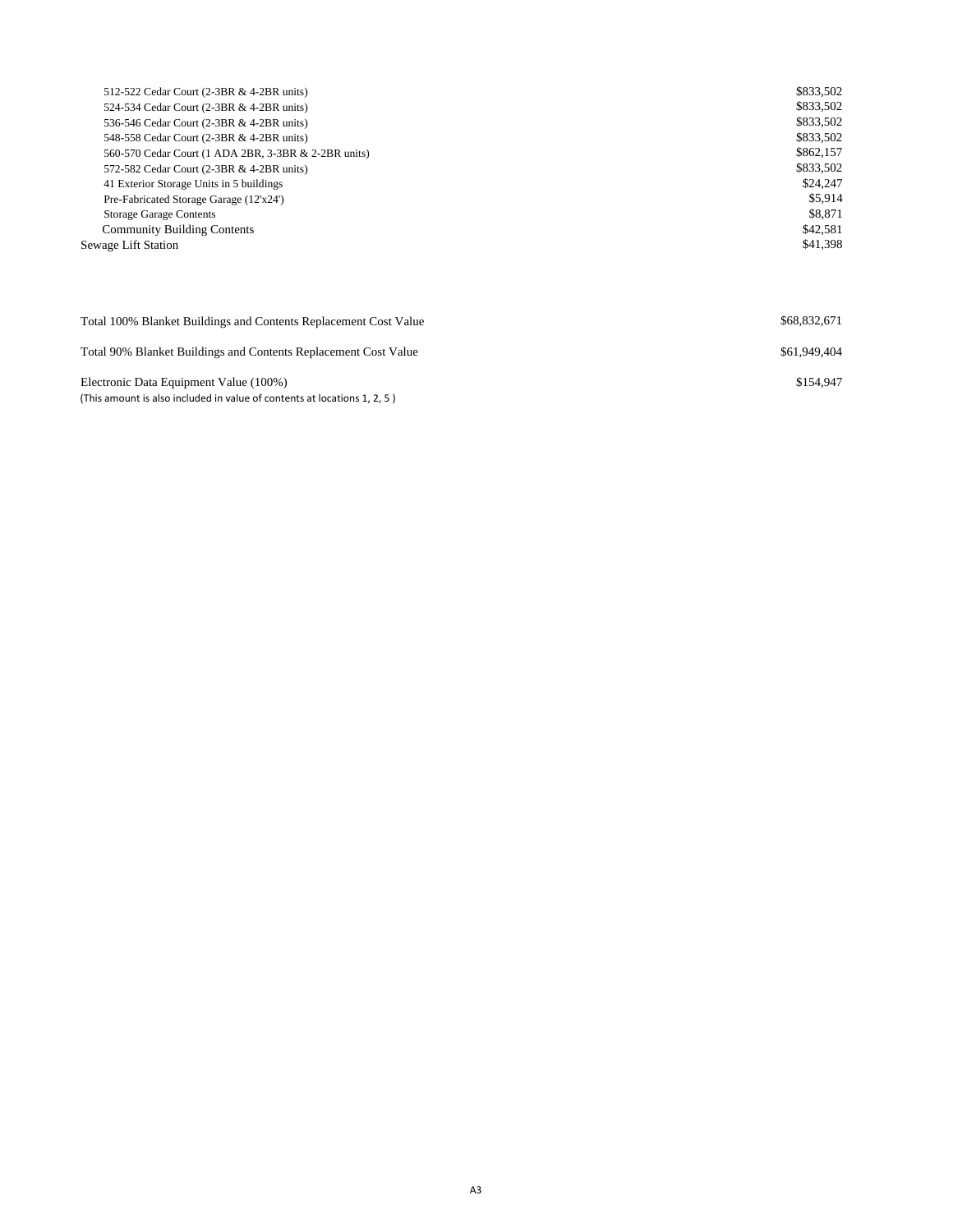| 512-522 Cedar Court (2-3BR & 4-2BR units)            | \$833,502 |
|------------------------------------------------------|-----------|
| 524-534 Cedar Court (2-3BR & 4-2BR units)            | \$833,502 |
| 536-546 Cedar Court (2-3BR & 4-2BR units)            | \$833,502 |
| 548-558 Cedar Court (2-3BR & 4-2BR units)            | \$833,502 |
| 560-570 Cedar Court (1 ADA 2BR, 3-3BR & 2-2BR units) | \$862,157 |
| 572-582 Cedar Court (2-3BR & 4-2BR units)            | \$833,502 |
| 41 Exterior Storage Units in 5 buildings             | \$24,247  |
| Pre-Fabricated Storage Garage (12'x24')              | \$5.914   |
| <b>Storage Garage Contents</b>                       | \$8,871   |
| <b>Community Building Contents</b>                   | \$42,581  |
| Sewage Lift Station                                  | \$41,398  |
|                                                      |           |
|                                                      |           |
|                                                      |           |

| Total 100% Blanket Buildings and Contents Replacement Cost Value                                                   | \$68,832,671 |
|--------------------------------------------------------------------------------------------------------------------|--------------|
| Total 90% Blanket Buildings and Contents Replacement Cost Value                                                    | \$61,949,404 |
| Electronic Data Equipment Value (100%)<br>(This amount is also included in value of contents at locations 1, 2, 5) | \$154,947    |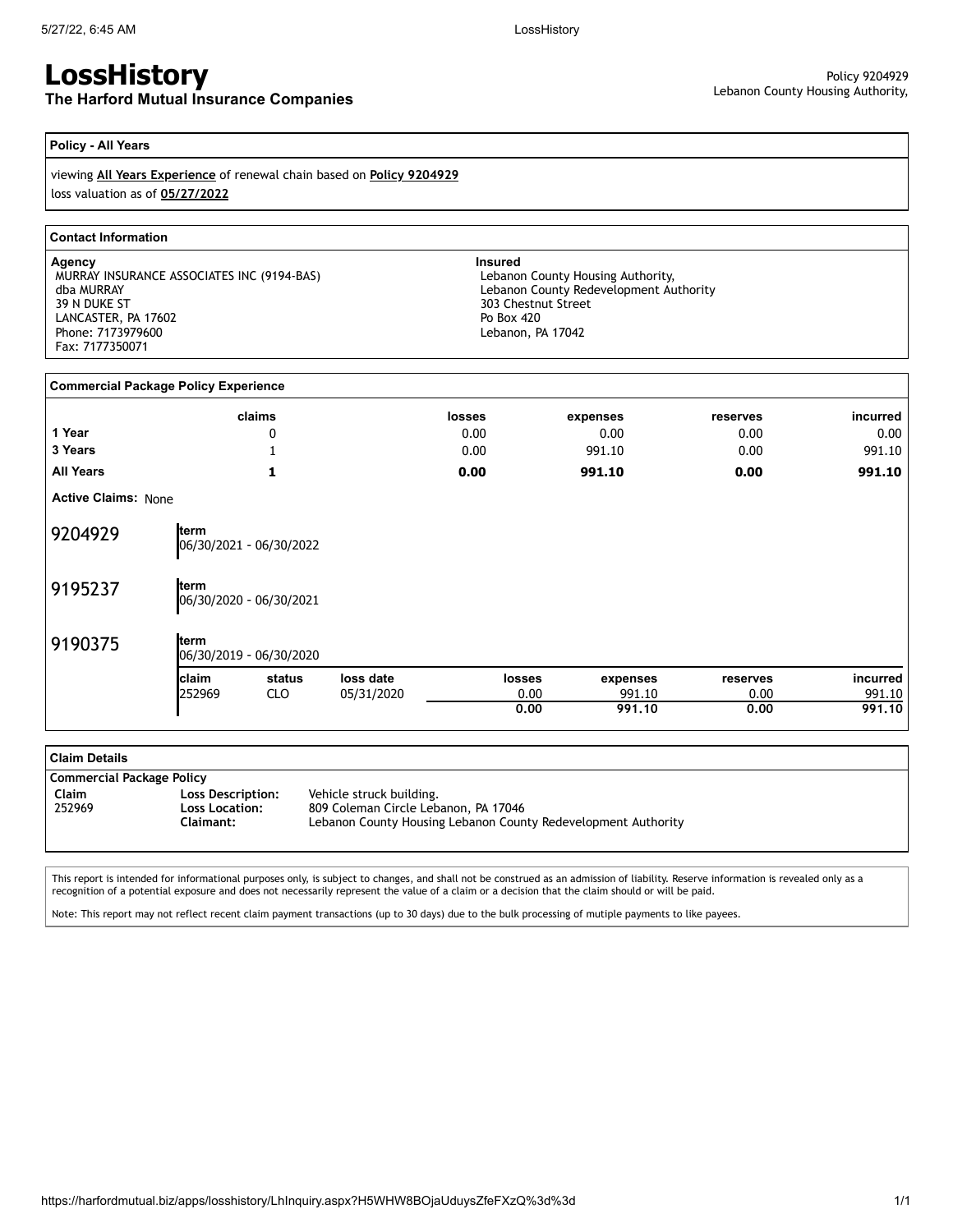# **LossHistory**

**The Harford Mutual Insurance Companies**

#### **Policy - All Years**

viewing **All Years Experience** of renewal chain based on **Policy 9204929** loss valuation as of **05/27/2022**

#### **Contact Information**

**Agency Insured** MURRAY INSURANCE ASSOCIATES INC (9194-BAS) dba MURRAY 39 N DUKE ST LANCASTER, PA 17602 Phone: 7173979600 Fax: 7177350071

Lebanon County Housing Authority, Lebanon County Redevelopment Authority 303 Chestnut Street Po Box 420 Lebanon, PA 17042

| <b>Commercial Package Policy Experience</b> |        |                         |            |               |               |          |          |          |
|---------------------------------------------|--------|-------------------------|------------|---------------|---------------|----------|----------|----------|
|                                             |        | claims                  |            | <b>losses</b> |               | expenses | reserves | incurred |
| 1 Year                                      |        | 0                       |            | 0.00          |               | 0.00     | 0.00     | 0.00     |
| 3 Years                                     |        |                         |            | 0.00          |               | 991.10   | 0.00     | 991.10   |
| <b>All Years</b>                            |        | 1                       |            | 0.00          |               | 991.10   | 0.00     | 991.10   |
| <b>Active Claims: None</b>                  |        |                         |            |               |               |          |          |          |
| 9204929                                     | term   | 06/30/2021 - 06/30/2022 |            |               |               |          |          |          |
| 9195237                                     | term   | 06/30/2020 - 06/30/2021 |            |               |               |          |          |          |
| 9190375                                     | term   | 06/30/2019 - 06/30/2020 |            |               |               |          |          |          |
|                                             | claim  | status                  | loss date  |               | <b>losses</b> | expenses | reserves | incurred |
|                                             | 252969 | <b>CLO</b>              | 05/31/2020 |               | 0.00          | 991.10   | 0.00     | 991.10   |
|                                             |        |                         |            |               | 0.00          | 991.10   | 0.00     | 991.10   |

| <b>Claim Details</b>      |                                                         |                                                                                                                                   |
|---------------------------|---------------------------------------------------------|-----------------------------------------------------------------------------------------------------------------------------------|
| Commercial Package Policy |                                                         |                                                                                                                                   |
| Claim<br>252969           | Loss Description:<br><b>Loss Location:</b><br>Claimant: | Vehicle struck building.<br>809 Coleman Circle Lebanon, PA 17046<br>Lebanon County Housing Lebanon County Redevelopment Authority |

This report is intended for informational purposes only, is subject to changes, and shall not be construed as an admission of liability. Reserve information is revealed only as a recognition of a potential exposure and does not necessarily represent the value of a claim or a decision that the claim should or will be paid.

Note: This report may not reflect recent claim payment transactions (up to 30 days) due to the bulk processing of mutiple payments to like payees.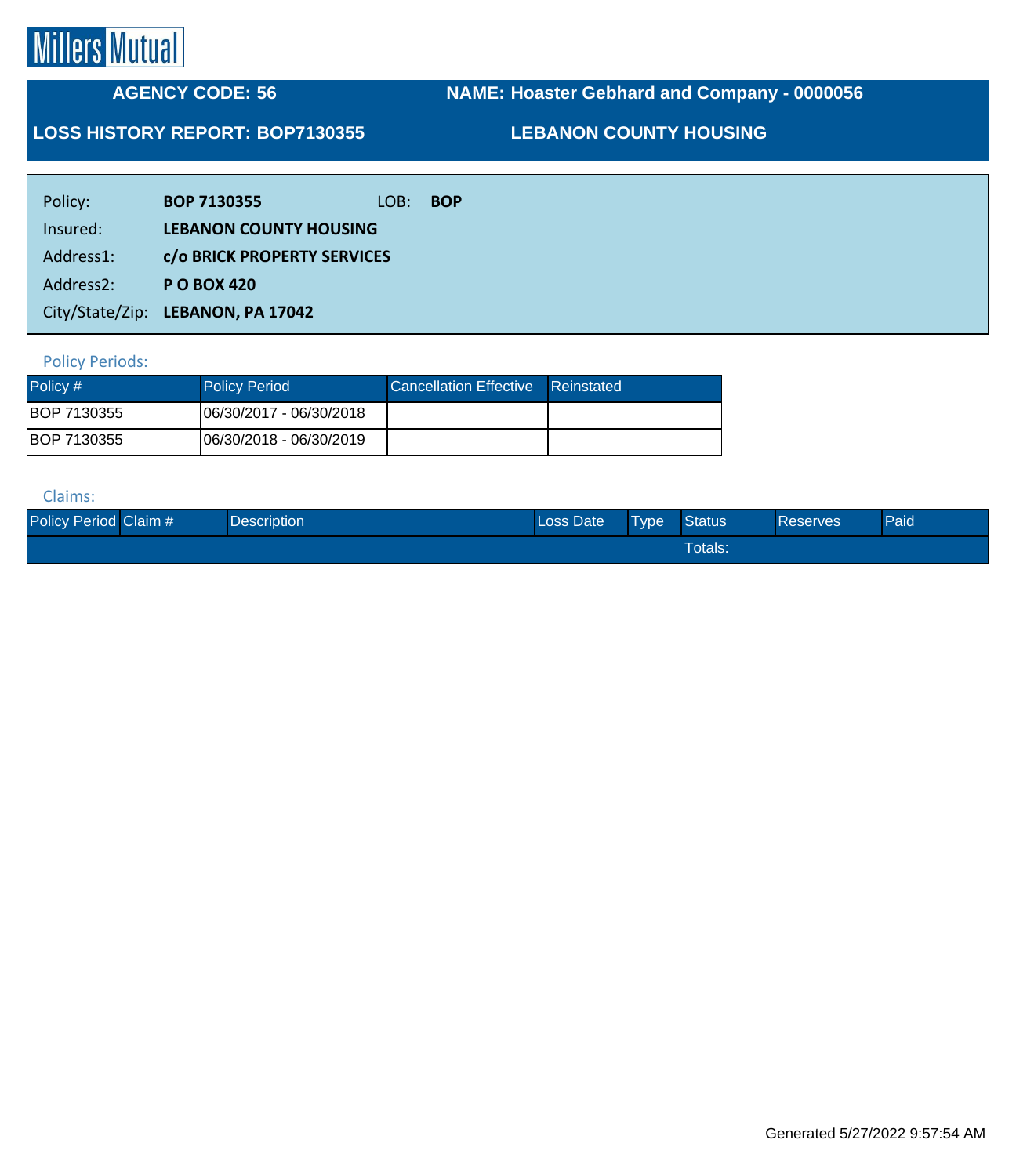# **Millers Mutual**

## **AGENCY CODE: 56**

**NAME: Hoaster Gebhard and Company - 0000056**

### **LOSS HISTORY REPORT: BOP7130355**

**LEBANON COUNTY HOUSING**

| Policy:   | <b>BOP 7130355</b>                | LOB: | <b>BOP</b> |
|-----------|-----------------------------------|------|------------|
| Insured:  | <b>LEBANON COUNTY HOUSING</b>     |      |            |
| Address1: | c/o BRICK PROPERTY SERVICES       |      |            |
| Address2: | <b>PO BOX 420</b>                 |      |            |
|           | City/State/Zip: LEBANON, PA 17042 |      |            |

#### Policy Periods:

| Policy #     | <b>Policy Period</b>           | Cancellation Effective Reinstated |  |
|--------------|--------------------------------|-----------------------------------|--|
| IBOP 7130355 | 06/30/2017 - 06/30/2018        |                                   |  |
| BOP 7130355  | <b>06/30/2018 - 06/30/2019</b> |                                   |  |

#### Claims:

| Policy Period Claim # | <b>Description</b> | Loss Date | Type | <b>Status</b>  | <b>Reserves</b> | Paid |
|-----------------------|--------------------|-----------|------|----------------|-----------------|------|
|                       |                    |           |      | <b>Totals:</b> |                 |      |